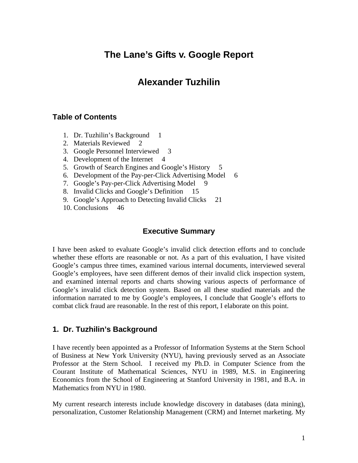# **The Lane's Gifts v. Google Report**

# **Alexander Tuzhilin**

#### **Table of Contents**

- 1. Dr. Tuzhilin's Background 1
- 2. Materials Reviewed 2
- 3. Google Personnel Interviewed 3
- 4. Development of the Internet 4
- 5. Growth of Search Engines and Google's History 5
- 6. Development of the Pay-per-Click Advertising Model 6
- 7. Google's Pay-per-Click Advertising Model 9
- 8. Invalid Clicks and Google's Definition 15
- 9. Google's Approach to Detecting Invalid Clicks 21
- 10. Conclusions 46

#### **Executive Summary**

I have been asked to evaluate Google's invalid click detection efforts and to conclude whether these efforts are reasonable or not. As a part of this evaluation, I have visited Google's campus three times, examined various internal documents, interviewed several Google's employees, have seen different demos of their invalid click inspection system, and examined internal reports and charts showing various aspects of performance of Google's invalid click detection system. Based on all these studied materials and the information narrated to me by Google's employees, I conclude that Google's efforts to combat click fraud are reasonable. In the rest of this report, I elaborate on this point.

#### **1. Dr. Tuzhilin's Background**

I have recently been appointed as a Professor of Information Systems at the Stern School of Business at New York University (NYU), having previously served as an Associate Professor at the Stern School. I received my Ph.D. in Computer Science from the Courant Institute of Mathematical Sciences, NYU in 1989, M.S. in Engineering Economics from the School of Engineering at Stanford University in 1981, and B.A. in Mathematics from NYU in 1980.

My current research interests include knowledge discovery in databases (data mining), personalization, Customer Relationship Management (CRM) and Internet marketing. My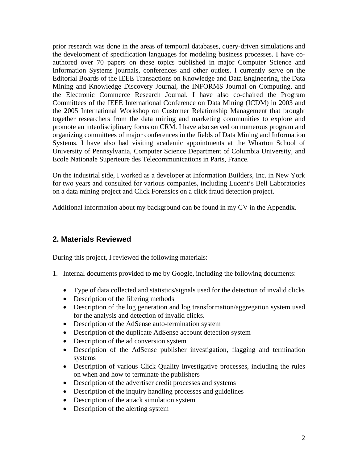prior research was done in the areas of temporal databases, query-driven simulations and the development of specification languages for modeling business processes. I have coauthored over 70 papers on these topics published in major Computer Science and Information Systems journals, conferences and other outlets. I currently serve on the Editorial Boards of the IEEE Transactions on Knowledge and Data Engineering, the Data Mining and Knowledge Discovery Journal, the INFORMS Journal on Computing, and the Electronic Commerce Research Journal. I have also co-chaired the Program Committees of the IEEE International Conference on Data Mining (ICDM) in 2003 and the 2005 International Workshop on Customer Relationship Management that brought together researchers from the data mining and marketing communities to explore and promote an interdisciplinary focus on CRM. I have also served on numerous program and organizing committees of major conferences in the fields of Data Mining and Information Systems. I have also had visiting academic appointments at the Wharton School of University of Pennsylvania, Computer Science Department of Columbia University, and Ecole Nationale Superieure des Telecommunications in Paris, France.

On the industrial side, I worked as a developer at Information Builders, Inc. in New York for two years and consulted for various companies, including Lucent's Bell Laboratories on a data mining project and Click Forensics on a click fraud detection project.

Additional information about my background can be found in my CV in the Appendix.

### **2. Materials Reviewed**

During this project, I reviewed the following materials:

- 1. Internal documents provided to me by Google, including the following documents:
	- Type of data collected and statistics/signals used for the detection of invalid clicks
	- Description of the filtering methods
	- Description of the log generation and log transformation/aggregation system used for the analysis and detection of invalid clicks.
	- Description of the AdSense auto-termination system
	- Description of the duplicate AdSense account detection system
	- Description of the ad conversion system
	- Description of the AdSense publisher investigation, flagging and termination systems
	- Description of various Click Quality investigative processes, including the rules on when and how to terminate the publishers
	- Description of the advertiser credit processes and systems
	- Description of the inquiry handling processes and guidelines
	- Description of the attack simulation system
	- Description of the alerting system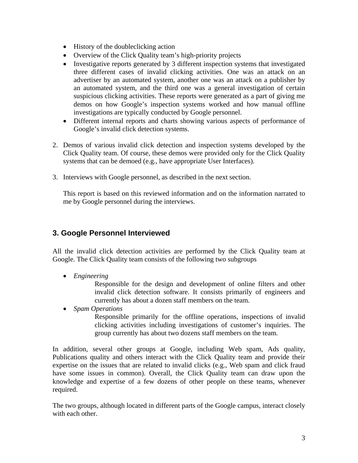- History of the doubleclicking action
- Overview of the Click Quality team's high-priority projects
- Investigative reports generated by 3 different inspection systems that investigated three different cases of invalid clicking activities. One was an attack on an advertiser by an automated system, another one was an attack on a publisher by an automated system, and the third one was a general investigation of certain suspicious clicking activities. These reports were generated as a part of giving me demos on how Google's inspection systems worked and how manual offline investigations are typically conducted by Google personnel.
- Different internal reports and charts showing various aspects of performance of Google's invalid click detection systems.
- 2. Demos of various invalid click detection and inspection systems developed by the Click Quality team. Of course, these demos were provided only for the Click Quality systems that can be demoed (e.g., have appropriate User Interfaces).
- 3. Interviews with Google personnel, as described in the next section.

This report is based on this reviewed information and on the information narrated to me by Google personnel during the interviews.

### **3. Google Personnel Interviewed**

All the invalid click detection activities are performed by the Click Quality team at Google. The Click Quality team consists of the following two subgroups

• *Engineering* 

Responsible for the design and development of online filters and other invalid click detection software. It consists primarily of engineers and currently has about a dozen staff members on the team.

• *Spam Operations* 

Responsible primarily for the offline operations, inspections of invalid clicking activities including investigations of customer's inquiries. The group currently has about two dozens staff members on the team.

In addition, several other groups at Google, including Web spam, Ads quality, Publications quality and others interact with the Click Quality team and provide their expertise on the issues that are related to invalid clicks (e.g., Web spam and click fraud have some issues in common). Overall, the Click Quality team can draw upon the knowledge and expertise of a few dozens of other people on these teams, whenever required.

The two groups, although located in different parts of the Google campus, interact closely with each other.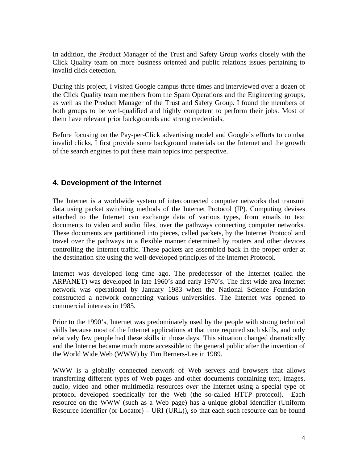In addition, the Product Manager of the Trust and Safety Group works closely with the Click Quality team on more business oriented and public relations issues pertaining to invalid click detection.

During this project, I visited Google campus three times and interviewed over a dozen of the Click Quality team members from the Spam Operations and the Engineering groups, as well as the Product Manager of the Trust and Safety Group. I found the members of both groups to be well-qualified and highly competent to perform their jobs. Most of them have relevant prior backgrounds and strong credentials.

Before focusing on the Pay-per-Click advertising model and Google's efforts to combat invalid clicks, I first provide some background materials on the Internet and the growth of the search engines to put these main topics into perspective.

### **4. Development of the Internet**

The Internet is a worldwide system of interconnected computer networks that transmit data using packet switching methods of the Internet Protocol (IP). Computing devises attached to the Internet can exchange data of various types, from emails to text documents to video and audio files, over the pathways connecting computer networks. These documents are partitioned into pieces, called packets, by the Internet Protocol and travel over the pathways in a flexible manner determined by routers and other devices controlling the Internet traffic. These packets are assembled back in the proper order at the destination site using the well-developed principles of the Internet Protocol.

Internet was developed long time ago. The predecessor of the Internet (called the ARPANET) was developed in late 1960's and early 1970's. The first wide area Internet network was operational by January 1983 when the National Science Foundation constructed a network connecting various universities. The Internet was opened to commercial interests in 1985.

Prior to the 1990's, Internet was predominately used by the people with strong technical skills because most of the Internet applications at that time required such skills, and only relatively few people had these skills in those days. This situation changed dramatically and the Internet became much more accessible to the general public after the invention of the World Wide Web (WWW) by Tim Berners-Lee in 1989.

WWW is a globally connected network of Web servers and browsers that allows transferring different types of Web pages and other documents containing text, images, audio, video and other multimedia resources *over* the Internet using a special type of protocol developed specifically for the Web (the so-called HTTP protocol). Each resource on the WWW (such as a Web page) has a unique global identifier (Uniform Resource Identifier (or Locator) – URI (URL)), so that each such resource can be found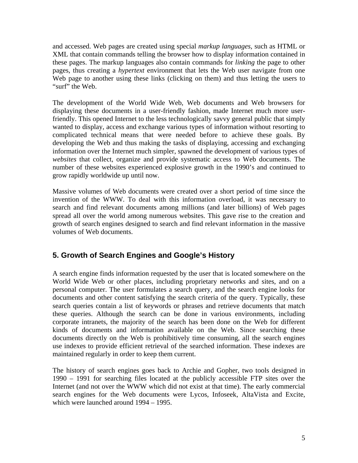and accessed. Web pages are created using special *markup languages,* such as HTML or XML that contain commands telling the browser how to display information contained in these pages. The markup languages also contain commands for *linking* the page to other pages, thus creating a *hypertext* environment that lets the Web user navigate from one Web page to another using these links (clicking on them) and thus letting the users to "surf" the Web.

The development of the World Wide Web, Web documents and Web browsers for displaying these documents in a user-friendly fashion, made Internet much more userfriendly. This opened Internet to the less technologically savvy general public that simply wanted to display, access and exchange various types of information without resorting to complicated technical means that were needed before to achieve these goals. By developing the Web and thus making the tasks of displaying, accessing and exchanging information over the Internet much simpler, spawned the development of various types of *websites* that collect, organize and provide systematic access to Web documents. The number of these websites experienced explosive growth in the 1990's and continued to grow rapidly worldwide up until now.

Massive volumes of Web documents were created over a short period of time since the invention of the WWW. To deal with this information overload, it was necessary to search and find relevant documents among millions (and later billions) of Web pages spread all over the world among numerous websites. This gave rise to the creation and growth of search engines designed to search and find relevant information in the massive volumes of Web documents.

### **5. Growth of Search Engines and Google's History**

A search engine finds information requested by the user that is located somewhere on the World Wide Web or other places, including proprietary networks and sites, and on a personal computer. The user formulates a search query, and the search engine looks for documents and other content satisfying the search criteria of the query. Typically, these search queries contain a list of keywords or phrases and retrieve documents that match these queries. Although the search can be done in various environments, including corporate intranets, the majority of the search has been done on the Web for different kinds of documents and information available on the Web. Since searching these documents directly on the Web is prohibitively time consuming, all the search engines use indexes to provide efficient retrieval of the searched information. These indexes are maintained regularly in order to keep them current.

The history of search engines goes back to Archie and Gopher, two tools designed in 1990 – 1991 for searching files located at the publicly accessible FTP sites over the Internet (and not over the WWW which did not exist at that time). The early commercial search engines for the Web documents were Lycos, Infoseek, AltaVista and Excite, which were launched around 1994 – 1995.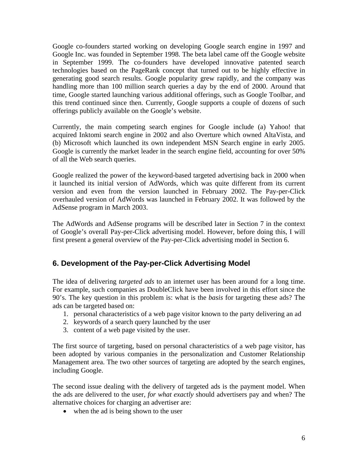Google co-founders started working on developing Google search engine in 1997 and Google Inc. was founded in September 1998. The beta label came off the Google website in September 1999. The co-founders have developed innovative patented search technologies based on the PageRank concept that turned out to be highly effective in generating good search results. Google popularity grew rapidly, and the company was handling more than 100 million search queries a day by the end of 2000. Around that time, Google started launching various additional offerings, such as Google Toolbar, and this trend continued since then. Currently, Google supports a couple of dozens of such offerings publicly available on the Google's website.

Currently, the main competing search engines for Google include (a) Yahoo! that acquired Inktomi search engine in 2002 and also Overture which owned AltaVista, and (b) Microsoft which launched its own independent MSN Search engine in early 2005. Google is currently the market leader in the search engine field, accounting for over 50% of all the Web search queries.

Google realized the power of the keyword-based targeted advertising back in 2000 when it launched its initial version of AdWords, which was quite different from its current version and even from the version launched in February 2002. The Pay-per-Click overhauled version of AdWords was launched in February 2002. It was followed by the AdSense program in March 2003.

The AdWords and AdSense programs will be described later in Section 7 in the context of Google's overall Pay-per-Click advertising model. However, before doing this, I will first present a general overview of the Pay-per-Click advertising model in Section 6.

## **6. Development of the Pay-per-Click Advertising Model**

The idea of delivering *targeted ads* to an internet user has been around for a long time. For example, such companies as DoubleClick have been involved in this effort since the 90's. The key question in this problem is: what is the *basis* for targeting these ads? The ads can be targeted based on:

- 1. personal characteristics of a web page visitor known to the party delivering an ad
- 2. keywords of a search query launched by the user
- 3. content of a web page visited by the user.

The first source of targeting, based on personal characteristics of a web page visitor, has been adopted by various companies in the personalization and Customer Relationship Management area. The two other sources of targeting are adopted by the search engines, including Google.

The second issue dealing with the delivery of targeted ads is the payment model. When the ads are delivered to the user, *for what exactly* should advertisers pay and when? The alternative choices for charging an advertiser are:

• when the ad is being shown to the user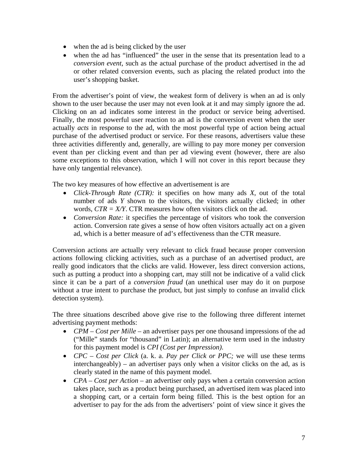- when the ad is being clicked by the user
- when the ad has "influenced" the user in the sense that its presentation lead to a *conversion event*, such as the actual purchase of the product advertised in the ad or other related conversion events, such as placing the related product into the user's shopping basket.

From the advertiser's point of view, the weakest form of delivery is when an ad is only shown to the user because the user may not even look at it and may simply ignore the ad. Clicking on an ad indicates some interest in the product or service being advertised. Finally, the most powerful user reaction to an ad is the conversion event when the user actually *acts* in response to the ad, with the most powerful type of action being actual purchase of the advertised product or service. For these reasons, advertisers value these three activities differently and, generally, are willing to pay more money per conversion event than per clicking event and than per ad viewing event (however, there are also some exceptions to this observation, which I will not cover in this report because they have only tangential relevance).

The two key measures of how effective an advertisement is are

- *Click-Through Rate (CTR):* it specifies on how many ads *X*, out of the total number of ads *Y* shown to the visitors, the visitors actually clicked; in other words,  $CTR = X/Y$ . CTR measures how often visitors click on the ad.
- *Conversion Rate:* it specifies the percentage of visitors who took the conversion action. Conversion rate gives a sense of how often visitors actually act on a given ad, which is a better measure of ad's effectiveness than the CTR measure.

Conversion actions are actually very relevant to click fraud because proper conversion actions following clicking activities, such as a purchase of an advertised product, are really good indicators that the clicks are valid. However, less direct conversion actions, such as putting a product into a shopping cart, may still not be indicative of a valid click since it can be a part of a *conversion fraud* (an unethical user may do it on purpose without a true intent to purchase the product, but just simply to confuse an invalid click detection system).

The three situations described above give rise to the following three different internet advertising payment methods:

- *CPM Cost per Mille* an advertiser pays per one thousand impressions of the ad ("Mille" stands for "thousand" in Latin); an alternative term used in the industry for this payment model is *CPI (Cost per Impression)*.
- *CPC Cost per Click* (a. k. a. *Pay per Click or PPC;* we will use these terms interchangeably) – an advertiser pays only when a visitor clicks on the ad, as is clearly stated in the name of this payment model.
- *CPA Cost per Action* an advertiser only pays when a certain conversion action takes place, such as a product being purchased, an advertised item was placed into a shopping cart, or a certain form being filled. This is the best option for an advertiser to pay for the ads from the advertisers' point of view since it gives the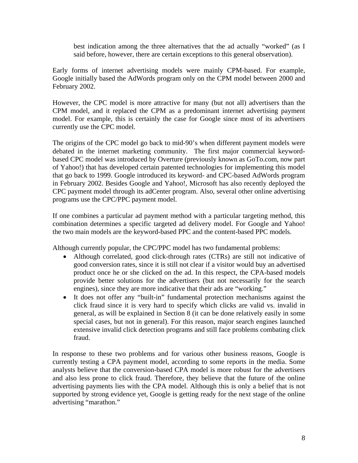best indication among the three alternatives that the ad actually "worked" (as I said before, however, there are certain exceptions to this general observation).

Early forms of internet advertising models were mainly CPM-based. For example, Google initially based the AdWords program only on the CPM model between 2000 and February 2002.

However, the CPC model is more attractive for many (but not all) advertisers than the CPM model, and it replaced the CPM as a predominant internet advertising payment model. For example, this is certainly the case for Google since most of its advertisers currently use the CPC model.

The origins of the CPC model go back to mid-90's when different payment models were debated in the internet marketing community. The first major commercial keywordbased CPC model was introduced by Overture (previously known as GoTo.com, now part of Yahoo!) that has developed certain patented technologies for implementing this model that go back to 1999. Google introduced its keyword- and CPC-based AdWords program in February 2002. Besides Google and Yahoo!, Microsoft has also recently deployed the CPC payment model through its adCenter program. Also, several other online advertising programs use the CPC/PPC payment model.

If one combines a particular ad payment method with a particular targeting method, this combination determines a specific targeted ad delivery model. For Google and Yahoo! the two main models are the keyword-based PPC and the content-based PPC models.

Although currently popular, the CPC/PPC model has two fundamental problems:

- Although correlated, good click-through rates (CTRs) are still not indicative of good conversion rates, since it is still not clear if a visitor would buy an advertised product once he or she clicked on the ad. In this respect, the CPA-based models provide better solutions for the advertisers (but not necessarily for the search engines), since they are more indicative that their ads are "working."
- It does not offer any "built-in" fundamental protection mechanisms against the click fraud since it is very hard to specify which clicks are valid vs. invalid in general, as will be explained in Section 8 (it can be done relatively easily in some special cases, but not in general). For this reason, major search engines launched extensive invalid click detection programs and still face problems combating click fraud.

In response to these two problems and for various other business reasons, Google is currently testing a CPA payment model, according to some reports in the media. Some analysts believe that the conversion-based CPA model is more robust for the advertisers and also less prone to click fraud. Therefore, they believe that the future of the online advertising payments lies with the CPA model. Although this is only a belief that is not supported by strong evidence yet, Google is getting ready for the next stage of the online advertising "marathon."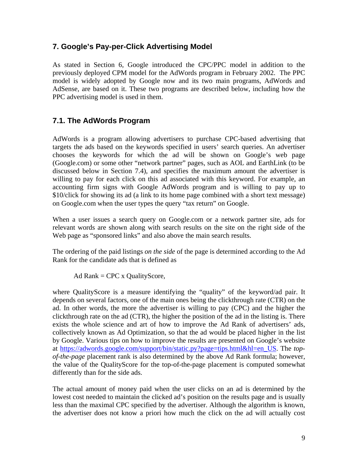#### **7. Google's Pay-per-Click Advertising Model**

As stated in Section 6, Google introduced the CPC/PPC model in addition to the previously deployed CPM model for the AdWords program in February 2002. The PPC model is widely adopted by Google now and its two main programs, AdWords and AdSense, are based on it. These two programs are described below, including how the PPC advertising model is used in them.

#### **7.1. The AdWords Program**

AdWords is a program allowing advertisers to purchase CPC-based advertising that targets the ads based on the keywords specified in users' search queries. An advertiser chooses the keywords for which the ad will be shown on Google's web page (Google.com) or some other "network partner" pages, such as AOL and EarthLink (to be discussed below in Section 7.4), and specifies the maximum amount the advertiser is willing to pay for each click on this ad associated with this keyword. For example, an accounting firm signs with Google AdWords program and is willing to pay up to \$10/click for showing its ad (a link to its home page combined with a short text message) on Google.com when the user types the query "tax return" on Google.

When a user issues a search query on Google.com or a network partner site, ads for relevant words are shown along with search results on the site on the right side of the Web page as "sponsored links" and also above the main search results.

The ordering of the paid listings *on the side* of the page is determined according to the Ad Rank for the candidate ads that is defined as

Ad Rank  $=$  CPC x QualityScore,

where QualityScore is a measure identifying the "quality" of the keyword/ad pair. It depends on several factors, one of the main ones being the clickthrough rate (CTR) on the ad. In other words, the more the advertiser is willing to pay (CPC) and the higher the clickthrough rate on the ad (CTR), the higher the position of the ad in the listing is. There exists the whole science and art of how to improve the Ad Rank of advertisers' ads, collectively known as Ad Optimization, so that the ad would be placed higher in the list by Google. Various tips on how to improve the results are presented on Google's website at https://adwords.google.com/support/bin/static.py?page=tips.html&hl=en\_US. The *topof-the-page* placement rank is also determined by the above Ad Rank formula; however, the value of the QualityScore for the top-of-the-page placement is computed somewhat differently than for the side ads.

The actual amount of money paid when the user clicks on an ad is determined by the lowest cost needed to maintain the clicked ad's position on the results page and is usually less than the maximal CPC specified by the advertiser. Although the algorithm is known, the advertiser does not know a priori how much the click on the ad will actually cost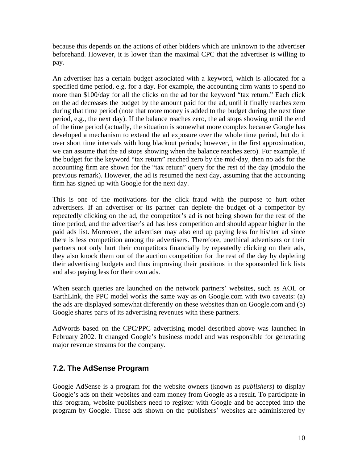because this depends on the actions of other bidders which are unknown to the advertiser beforehand. However, it is lower than the maximal CPC that the advertiser is willing to pay.

An advertiser has a certain budget associated with a keyword, which is allocated for a specified time period, e.g. for a day. For example, the accounting firm wants to spend no more than \$100/day for all the clicks on the ad for the keyword "tax return." Each click on the ad decreases the budget by the amount paid for the ad, until it finally reaches zero during that time period (note that more money is added to the budget during the next time period, e.g., the next day). If the balance reaches zero, the ad stops showing until the end of the time period (actually, the situation is somewhat more complex because Google has developed a mechanism to extend the ad exposure over the whole time period, but do it over short time intervals with long blackout periods; however, in the first approximation, we can assume that the ad stops showing when the balance reaches zero). For example, if the budget for the keyword "tax return" reached zero by the mid-day, then no ads for the accounting firm are shown for the "tax return" query for the rest of the day (modulo the previous remark). However, the ad is resumed the next day, assuming that the accounting firm has signed up with Google for the next day.

This is one of the motivations for the click fraud with the purpose to hurt other advertisers. If an advertiser or its partner can deplete the budget of a competitor by repeatedly clicking on the ad, the competitor's ad is not being shown for the rest of the time period, and the advertiser's ad has less competition and should appear higher in the paid ads list. Moreover, the advertiser may also end up paying less for his/her ad since there is less competition among the advertisers. Therefore, unethical advertisers or their partners not only hurt their competitors financially by repeatedly clicking on their ads, they also knock them out of the auction competition for the rest of the day by depleting their advertising budgets and thus improving their positions in the sponsorded link lists and also paying less for their own ads.

When search queries are launched on the network partners' websites, such as AOL or EarthLink, the PPC model works the same way as on Google.com with two caveats: (a) the ads are displayed somewhat differently on these websites than on Google.com and (b) Google shares parts of its advertising revenues with these partners.

AdWords based on the CPC/PPC advertising model described above was launched in February 2002. It changed Google's business model and was responsible for generating major revenue streams for the company.

### **7.2. The AdSense Program**

Google AdSense is a program for the website owners (known as *publishers*) to display Google's ads on their websites and earn money from Google as a result. To participate in this program, website publishers need to register with Google and be accepted into the program by Google. These ads shown on the publishers' websites are administered by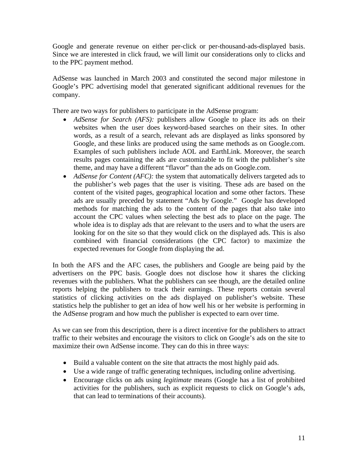Google and generate revenue on either per-click or per-thousand-ads-displayed basis. Since we are interested in click fraud, we will limit our considerations only to clicks and to the PPC payment method.

AdSense was launched in March 2003 and constituted the second major milestone in Google's PPC advertising model that generated significant additional revenues for the company.

There are two ways for publishers to participate in the AdSense program:

- *AdSense for Search (AFS)*: publishers allow Google to place its ads on their websites when the user does keyword-based searches on their sites. In other words, as a result of a search, relevant ads are displayed as links sponsored by Google, and these links are produced using the same methods as on Google.com. Examples of such publishers include AOL and EarthLink. Moreover, the search results pages containing the ads are customizable to fit with the publisher's site theme, and may have a different "flavor" than the ads on Google.com.
- *AdSense for Content (AFC)*: the system that automatically delivers targeted ads to the publisher's web pages that the user is visiting. These ads are based on the content of the visited pages, geographical location and some other factors. These ads are usually preceded by statement "Ads by Google." Google has developed methods for matching the ads to the content of the pages that also take into account the CPC values when selecting the best ads to place on the page. The whole idea is to display ads that are relevant to the users and to what the users are looking for on the site so that they would click on the displayed ads. This is also combined with financial considerations (the CPC factor) to maximize the expected revenues for Google from displaying the ad.

In both the AFS and the AFC cases, the publishers and Google are being paid by the advertisers on the PPC basis. Google does not disclose how it shares the clicking revenues with the publishers. What the publishers can see though, are the detailed online reports helping the publishers to track their earnings. These reports contain several statistics of clicking activities on the ads displayed on publisher's website. These statistics help the publisher to get an idea of how well his or her website is performing in the AdSense program and how much the publisher is expected to earn over time.

As we can see from this description, there is a direct incentive for the publishers to attract traffic to their websites and encourage the visitors to click on Google's ads on the site to maximize their own AdSense income. They can do this in three ways:

- Build a valuable content on the site that attracts the most highly paid ads.
- Use a wide range of traffic generating techniques, including online advertising.
- Encourage clicks on ads using *legitimate* means (Google has a list of prohibited activities for the publishers, such as explicit requests to click on Google's ads, that can lead to terminations of their accounts).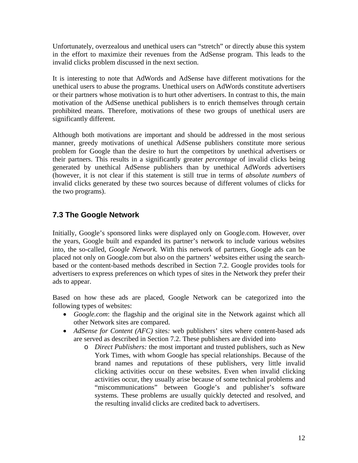Unfortunately, overzealous and unethical users can "stretch" or directly abuse this system in the effort to maximize their revenues from the AdSense program. This leads to the invalid clicks problem discussed in the next section.

It is interesting to note that AdWords and AdSense have different motivations for the unethical users to abuse the programs. Unethical users on AdWords constitute advertisers or their partners whose motivation is to hurt other advertisers. In contrast to this, the main motivation of the AdSense unethical publishers is to enrich themselves through certain prohibited means. Therefore, motivations of these two groups of unethical users are significantly different.

Although both motivations are important and should be addressed in the most serious manner, greedy motivations of unethical AdSense publishers constitute more serious problem for Google than the desire to hurt the competitors by unethical advertisers or their partners. This results in a significantly greater *percentage* of invalid clicks being generated by unethical AdSense publishers than by unethical AdWords advertisers (however, it is not clear if this statement is still true in terms of *absolute numbers* of invalid clicks generated by these two sources because of different volumes of clicks for the two programs).

### **7.3 The Google Network**

Initially, Google's sponsored links were displayed only on Google.com. However, over the years, Google built and expanded its partner's network to include various websites into, the so-called, *Google Network.* With this network of partners, Google ads can be placed not only on Google.com but also on the partners' websites either using the searchbased or the content-based methods described in Section 7.2. Google provides tools for advertisers to express preferences on which types of sites in the Network they prefer their ads to appear.

Based on how these ads are placed, Google Network can be categorized into the following types of websites:

- *Google.com*: the flagship and the original site in the Network against which all other Network sites are compared.
- *AdSense for Content (AFC)* sites: web publishers' sites where content-based ads are served as described in Section 7.2. These publishers are divided into
	- o *Direct Publishers:* the most important and trusted publishers, such as New York Times, with whom Google has special relationships. Because of the brand names and reputations of these publishers, very little invalid clicking activities occur on these websites. Even when invalid clicking activities occur, they usually arise because of some technical problems and "miscommunications" between Google's and publisher's software systems. These problems are usually quickly detected and resolved, and the resulting invalid clicks are credited back to advertisers.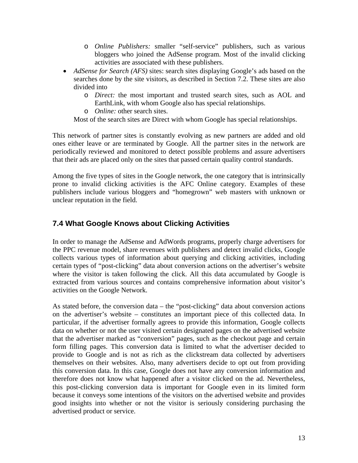- o *Online Publishers:* smaller "self-service" publishers, such as various bloggers who joined the AdSense program. Most of the invalid clicking activities are associated with these publishers.
- *AdSense for Search (AFS)* sites: search sites displaying Google's ads based on the searches done by the site visitors, as described in Section 7.2. These sites are also divided into
	- o *Direct:* the most important and trusted search sites, such as AOL and EarthLink, with whom Google also has special relationships.
	- o *Online:* other search sites.

Most of the search sites are Direct with whom Google has special relationships.

This network of partner sites is constantly evolving as new partners are added and old ones either leave or are terminated by Google. All the partner sites in the network are periodically reviewed and monitored to detect possible problems and assure advertisers that their ads are placed only on the sites that passed certain quality control standards.

Among the five types of sites in the Google network, the one category that is intrinsically prone to invalid clicking activities is the AFC Online category. Examples of these publishers include various bloggers and "homegrown" web masters with unknown or unclear reputation in the field.

### **7.4 What Google Knows about Clicking Activities**

In order to manage the AdSense and AdWords programs, properly charge advertisers for the PPC revenue model, share revenues with publishers and detect invalid clicks, Google collects various types of information about querying and clicking activities, including certain types of "post-clicking" data about conversion actions on the advertiser's website where the visitor is taken following the click. All this data accumulated by Google is extracted from various sources and contains comprehensive information about visitor's activities on the Google Network.

As stated before, the conversion data – the "post-clicking" data about conversion actions on the advertiser's website – constitutes an important piece of this collected data. In particular, if the advertiser formally agrees to provide this information, Google collects data on whether or not the user visited certain designated pages on the advertised website that the advertiser marked as "conversion" pages, such as the checkout page and certain form filling pages. This conversion data is limited to what the advertiser decided to provide to Google and is not as rich as the clickstream data collected by advertisers themselves on their websites. Also, many advertisers decide to opt out from providing this conversion data. In this case, Google does not have any conversion information and therefore does not know what happened after a visitor clicked on the ad. Nevertheless, this post-clicking conversion data is important for Google even in its limited form because it conveys some intentions of the visitors on the advertised website and provides good insights into whether or not the visitor is seriously considering purchasing the advertised product or service.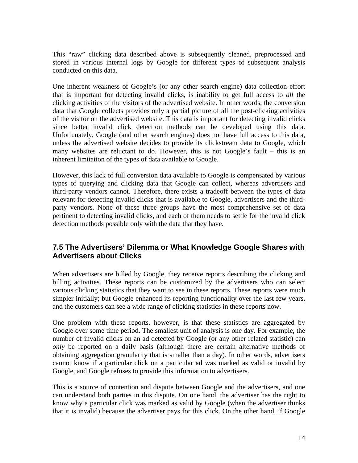This "raw" clicking data described above is subsequently cleaned, preprocessed and stored in various internal logs by Google for different types of subsequent analysis conducted on this data.

One inherent weakness of Google's (or any other search engine) data collection effort that is important for detecting invalid clicks, is inability to get full access to *all* the clicking activities of the visitors of the advertised website. In other words, the conversion data that Google collects provides only a partial picture of all the post-clicking activities of the visitor on the advertised website. This data is important for detecting invalid clicks since better invalid click detection methods can be developed using this data. Unfortunately, Google (and other search engines) does not have full access to this data, unless the advertised website decides to provide its clickstream data to Google, which many websites are reluctant to do. However, this is not Google's fault – this is an inherent limitation of the types of data available to Google.

However, this lack of full conversion data available to Google is compensated by various types of querying and clicking data that Google can collect, whereas advertisers and third-party vendors cannot. Therefore, there exists a tradeoff between the types of data relevant for detecting invalid clicks that is available to Google, advertisers and the thirdparty vendors. None of these three groups have the most comprehensive set of data pertinent to detecting invalid clicks, and each of them needs to settle for the invalid click detection methods possible only with the data that they have.

### **7.5 The Advertisers' Dilemma or What Knowledge Google Shares with Advertisers about Clicks**

When advertisers are billed by Google, they receive reports describing the clicking and billing activities. These reports can be customized by the advertisers who can select various clicking statistics that they want to see in these reports. These reports were much simpler initially; but Google enhanced its reporting functionality over the last few years, and the customers can see a wide range of clicking statistics in these reports now.

One problem with these reports, however, is that these statistics are aggregated by Google over some time period. The smallest unit of analysis is one day. For example, the number of invalid clicks on an ad detected by Google (or any other related statistic) can *only* be reported on a daily basis (although there are certain alternative methods of obtaining aggregation granularity that is smaller than a day). In other words, advertisers cannot know if a particular click on a particular ad was marked as valid or invalid by Google, and Google refuses to provide this information to advertisers.

This is a source of contention and dispute between Google and the advertisers, and one can understand both parties in this dispute. On one hand, the advertiser has the right to know why a particular click was marked as valid by Google (when the advertiser thinks that it is invalid) because the advertiser pays for this click. On the other hand, if Google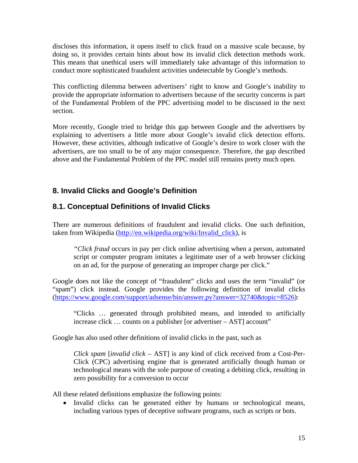discloses this information, it opens itself to click fraud on a massive scale because, by doing so, it provides certain hints about how its invalid click detection methods work. This means that unethical users will immediately take advantage of this information to conduct more sophisticated fraudulent activities undetectable by Google's methods.

This conflicting dilemma between advertisers' right to know and Google's inability to provide the appropriate information to advertisers because of the security concerns is part of the Fundamental Problem of the PPC advertising model to be discussed in the next section.

More recently, Google tried to bridge this gap between Google and the advertisers by explaining to advertisers a little more about Google's invalid click detection efforts. However, these activities, although indicative of Google's desire to work closer with the advertisers, are too small to be of any major consequence. Therefore, the gap described above and the Fundamental Problem of the PPC model still remains pretty much open.

## **8. Invalid Clicks and Google's Definition**

## **8.1. Conceptual Definitions of Invalid Clicks**

There are numerous definitions of fraudulent and invalid clicks. One such definition, taken from Wikipedia (http://en.wikipedia.org/wiki/Invalid\_click), is

*"Click fraud* occurs in pay per click online advertising when a person, automated script or computer program imitates a legitimate user of a web browser clicking on an ad, for the purpose of generating an improper charge per click."

Google does not like the concept of "fraudulent" clicks and uses the term "invalid" (or "spam") click instead. Google provides the following definition of invalid clicks (https://www.google.com/support/adsense/bin/answer.py?answer=32740&topic=8526):

"Clicks … generated through prohibited means, and intended to artificially increase click … counts on a publisher [or advertiser – AST] account"

Google has also used other definitions of invalid clicks in the past, such as

*Click spam* [*invalid click* – AST] is any kind of click received from a Cost-Per-Click (CPC) advertising engine that is generated artificially though human or technological means with the sole purpose of creating a debiting click, resulting in zero possibility for a conversion to occur

All these related definitions emphasize the following points:

• Invalid clicks can be generated either by humans or technological means, including various types of deceptive software programs, such as scripts or bots.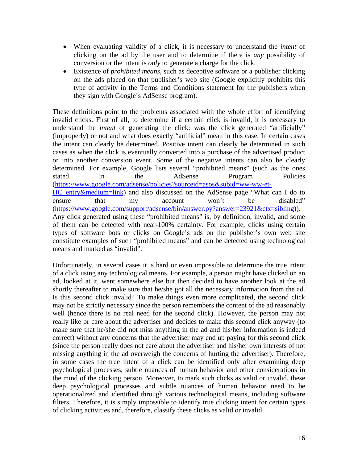- When evaluating validity of a click, it is necessary to understand the *intent* of clicking on the ad by the user and to determine if there is *any* possibility of conversion or the intent is *only* to generate a charge for the click.
- Existence of *prohibited means,* such as deceptive software or a publisher clicking on the ads placed on that publisher's web site (Google explicitly prohibits this type of activity in the Terms and Conditions statement for the publishers when they sign with Google's AdSense program).

These definitions point to the problems associated with the whole effort of identifying invalid clicks. First of all, to determine if a certain click is invalid, it is necessary to understand the *intent* of generating the click: was the click generated "artificially" (improperly) or not and what does exactly "artificial" mean in this case. In certain cases the intent can clearly be determined. Positive intent can clearly be determined in such cases as when the click is eventually converted into a purchase of the advertised product or into another conversion event. Some of the negative intents can also be clearly determined. For example, Google lists several "prohibited means" (such as the ones stated in the AdSense Program Policies (https://www.google.com/adsense/policies?sourceid=asos&subid=ww-ww-et-HC\_entry&medium=link) and also discussed on the AdSense page "What can I do to ensure that my account won't be disabled" (https://www.google.com/support/adsense/bin/answer.py?answer=23921&ctx=sibling)). Any click generated using these "prohibited means" is, by definition, invalid, and some of them can be detected with near-100% certainty. For example, clicks using certain types of software bots or clicks on Google's ads on the publisher's own web site constitute examples of such "prohibited means" and can be detected using technological means and marked as "invalid".

Unfortunately, in several cases it is hard or even impossible to determine the true intent of a click using any technological means. For example, a person might have clicked on an ad, looked at it, went somewhere else but then decided to have another look at the ad shortly thereafter to make sure that he/she got all the necessary information from the ad. Is this second click invalid? To make things even more complicated, the second click may not be strictly necessary since the person remembers the content of the ad reasonably well (hence there is no real need for the second click). However, the person may not really like or care about the advertiser and decides to make this second click anyway (to make sure that he/she did not miss anything in the ad and his/her information is indeed correct) without any concerns that the advertiser may end up paying for this second click (since the person really does not care about the advertiser and his/her own interests of not missing anything in the ad overweigh the concerns of hurting the advertiser). Therefore, in some cases the true intent of a click can be identified only after examining deep psychological processes, subtle nuances of human behavior and other considerations in the mind of the clicking person. Moreover, to mark such clicks as valid or invalid, these deep psychological processes and subtle nuances of human behavior need to be operationalized and identified through various technological means, including software filters. Therefore, it is simply impossible to identify true clicking intent for certain types of clicking activities and, therefore, classify these clicks as valid or invalid.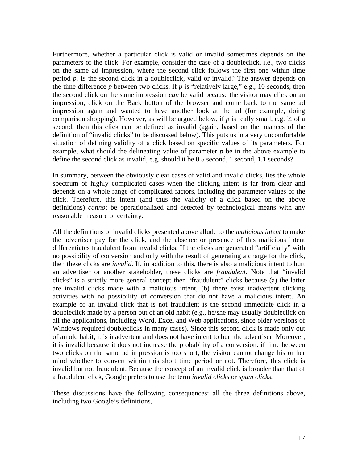Furthermore, whether a particular click is valid or invalid sometimes depends on the parameters of the click. For example, consider the case of a doubleclick, i.e., two clicks on the same ad impression, where the second click follows the first one within time period *p.* Is the second click in a doubleclick, valid or invalid? The answer depends on the time difference  $p$  between two clicks. If  $p$  is "relatively large," e.g., 10 seconds, then the second click on the same impression *can* be valid because the visitor may click on an impression, click on the Back button of the browser and come back to the same ad impression again and wanted to have another look at the ad (for example, doing comparison shopping). However, as will be argued below, if *p* is really small, e.g. ¼ of a second, then this click can be defined as invalid (again, based on the nuances of the definition of "invalid clicks" to be discussed below). This puts us in a very uncomfortable situation of defining validity of a click based on specific values of its parameters. For example, what should the delineating value of parameter *p* be in the above example to define the second click as invalid, e.g. should it be 0.5 second, 1 second, 1.1 seconds?

In summary, between the obviously clear cases of valid and invalid clicks, lies the whole spectrum of highly complicated cases when the clicking intent is far from clear and depends on a whole range of complicated factors, including the parameter values of the click. Therefore, this intent (and thus the validity of a click based on the above definitions) *cannot* be operationalized and detected by technological means with any reasonable measure of certainty.

All the definitions of invalid clicks presented above allude to the *malicious intent* to make the advertiser pay for the click, and the absence or presence of this malicious intent differentiates fraudulent from invalid clicks. If the clicks are generated "artificially" with no possibility of conversion and only with the result of generating a charge for the click, then these clicks are *invalid.* If, in addition to this, there is also a malicious intent to hurt an advertiser or another stakeholder, these clicks are *fraudulent*. Note that "invalid clicks" is a strictly more general concept then "fraudulent" clicks because (a) the latter are invalid clicks made with a malicious intent, (b) there exist inadvertent clicking activities with no possibility of conversion that do not have a malicious intent. An example of an invalid click that is not fraudulent is the second immediate click in a doubleclick made by a person out of an old habit (e.g., he/she may usually doubleclick on all the applications, including Word, Excel and Web applications, since older versions of Windows required doubleclicks in many cases). Since this second click is made only out of an old habit, it is inadvertent and does not have intent to hurt the advertiser. Moreover, it is invalid because it does not increase the probability of a conversion: if time between two clicks on the same ad impression is too short, the visitor cannot change his or her mind whether to convert within this short time period or not. Therefore, this click is invalid but not fraudulent. Because the concept of an invalid click is broader than that of a fraudulent click, Google prefers to use the term *invalid clicks* or *spam clicks.*

These discussions have the following consequences: all the three definitions above, including two Google's definitions,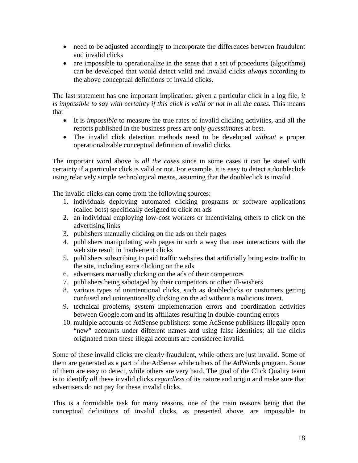- need to be adjusted accordingly to incorporate the differences between fraudulent and invalid clicks
- are impossible to operationalize in the sense that a set of procedures (algorithms) can be developed that would detect valid and invalid clicks *always* according to the above conceptual definitions of invalid clicks.

The last statement has one important implication: given a particular click in a log file, *it is impossible to say with certainty if this click is valid or not in* all *the cases.* This means that

- It is *impossible* to measure the true rates of invalid clicking activities, and all the reports published in the business press are only *guesstimates* at best.
- The invalid click detection methods need to be developed *without* a proper operationalizable conceptual definition of invalid clicks.

The important word above is *all the cases* since in some cases it can be stated with certainty if a particular click is valid or not. For example, it is easy to detect a doubleclick using relatively simple technological means, assuming that the doubleclick is invalid.

The invalid clicks can come from the following sources:

- 1. individuals deploying automated clicking programs or software applications (called bots) specifically designed to click on ads
- 2. an individual employing low-cost workers or incentivizing others to click on the advertising links
- 3. publishers manually clicking on the ads on their pages
- 4. publishers manipulating web pages in such a way that user interactions with the web site result in inadvertent clicks
- 5. publishers subscribing to paid traffic websites that artificially bring extra traffic to the site, including extra clicking on the ads
- 6. advertisers manually clicking on the ads of their competitors
- 7. publishers being sabotaged by their competitors or other ill-wishers
- 8. various types of unintentional clicks, such as doubleclicks or customers getting confused and unintentionally clicking on the ad without a malicious intent.
- 9. technical problems, system implementation errors and coordination activities between Google.com and its affiliates resulting in double-counting errors
- 10. multiple accounts of AdSense publishers: some AdSense publishers illegally open "new" accounts under different names and using false identities; all the clicks originated from these illegal accounts are considered invalid.

Some of these invalid clicks are clearly fraudulent, while others are just invalid. Some of them are generated as a part of the AdSense while others of the AdWords program. Some of them are easy to detect, while others are very hard. The goal of the Click Quality team is to identify *all* these invalid clicks *regardless* of its nature and origin and make sure that advertisers do not pay for these invalid clicks.

This is a formidable task for many reasons, one of the main reasons being that the conceptual definitions of invalid clicks, as presented above, are impossible to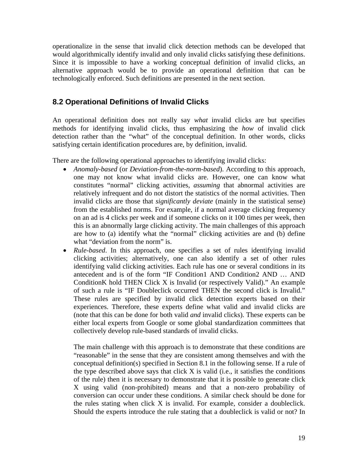operationalize in the sense that invalid click detection methods can be developed that would algorithmically identify invalid and only invalid clicks satisfying these definitions. Since it is impossible to have a working conceptual definition of invalid clicks, an alternative approach would be to provide an operational definition that can be technologically enforced. Such definitions are presented in the next section.

#### **8.2 Operational Definitions of Invalid Clicks**

An operational definition does not really say *what* invalid clicks are but specifies methods for identifying invalid clicks, thus emphasizing the *how* of invalid click detection rather than the "what" of the conceptual definition. In other words, clicks satisfying certain identification procedures are, by definition, invalid.

There are the following operational approaches to identifying invalid clicks:

- *Anomaly-based* (or *Deviation-from-the-norm*-*based*). According to this approach, one may not know what invalid clicks are. However, one can know what constitutes "normal" clicking activities, *assuming* that abnormal activities are relatively infrequent and do not distort the statistics of the normal activities. Then invalid clicks are those that *significantly deviate* (mainly in the statistical sense) from the established norms. For example, if a normal average clicking frequency on an ad is 4 clicks per week and if someone clicks on it 100 times per week, then this is an abnormally large clicking activity. The main challenges of this approach are how to (a) identify what the "normal" clicking activities are and (b) define what "deviation from the norm" is.
- *Rule-based*. In this approach, one specifies a set of rules identifying invalid clicking activities; alternatively, one can also identify a set of other rules identifying valid clicking activities. Each rule has one or several conditions in its antecedent and is of the form "IF Condition1 AND Condition2 AND … AND ConditionK hold THEN Click X is Invalid (or respectively Valid)." An example of such a rule is "IF Doubleclick occurred THEN the second click is Invalid." These rules are specified by invalid click detection experts based on their experiences. Therefore, these experts define what valid and invalid clicks are (note that this can be done for both valid *and* invalid clicks). These experts can be either local experts from Google or some global standardization committees that collectively develop rule-based standards of invalid clicks.

The main challenge with this approach is to demonstrate that these conditions are "reasonable" in the sense that they are consistent among themselves and with the conceptual definition(s) specified in Section 8.1 in the following sense. If a rule of the type described above says that click X is valid (i.e., it satisfies the conditions of the rule) then it is necessary to demonstrate that it is possible to generate click X using valid (non-prohibited) means and that a non-zero probability of conversion can occur under these conditions. A similar check should be done for the rules stating when click X is invalid. For example, consider a doubleclick. Should the experts introduce the rule stating that a doubleclick is valid or not? In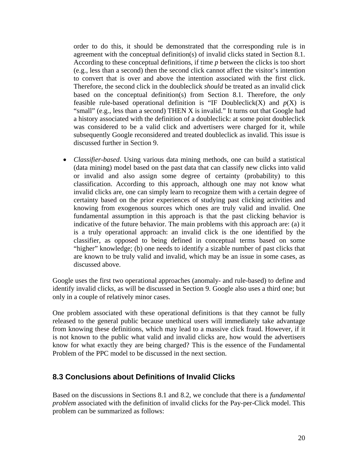order to do this, it should be demonstrated that the corresponding rule is in agreement with the conceptual definition(s) of invalid clicks stated in Section 8.1. According to these conceptual definitions, if time *p* between the clicks is too short (e.g., less than a second) then the second click cannot affect the visitor's intention to convert that is over and above the intention associated with the first click. Therefore, the second click in the doubleclick *should* be treated as an invalid click based on the conceptual definition(s) from Section 8.1. Therefore, the *only* feasible rule-based operational definition is "IF Doubleclick(X) and  $p(X)$  is "small" (e.g., less than a second) THEN X is invalid." It turns out that Google had a history associated with the definition of a doubleclick: at some point doubleclick was considered to be a valid click and advertisers were charged for it, while subsequently Google reconsidered and treated doubleclick as invalid. This issue is discussed further in Section 9.

• *Classifier-based*. Using various data mining methods, one can build a statistical (data mining) model based on the past data that can classify new clicks into valid or invalid and also assign some degree of certainty (probability) to this classification. According to this approach, although one may not know what invalid clicks are, one can simply learn to recognize them with a certain degree of certainty based on the prior experiences of studying past clicking activities and knowing from exogenous sources which ones are truly valid and invalid. One fundamental assumption in this approach is that the past clicking behavior is indicative of the future behavior. The main problems with this approach are: (a) it is a truly operational approach: an invalid click is the one identified by the classifier, as opposed to being defined in conceptual terms based on some "higher" knowledge; (b) one needs to identify a sizable number of past clicks that are known to be truly valid and invalid, which may be an issue in some cases, as discussed above.

Google uses the first two operational approaches (anomaly- and rule-based) to define and identify invalid clicks, as will be discussed in Section 9. Google also uses a third one; but only in a couple of relatively minor cases.

One problem associated with these operational definitions is that they cannot be fully released to the general public because unethical users will immediately take advantage from knowing these definitions, which may lead to a massive click fraud. However, if it is not known to the public what valid and invalid clicks are, how would the advertisers know for what exactly they are being charged? This is the essence of the Fundamental Problem of the PPC model to be discussed in the next section.

#### **8.3 Conclusions about Definitions of Invalid Clicks**

Based on the discussions in Sections 8.1 and 8.2, we conclude that there is a *fundamental problem* associated with the definition of invalid clicks for the Pay-per-Click model. This problem can be summarized as follows: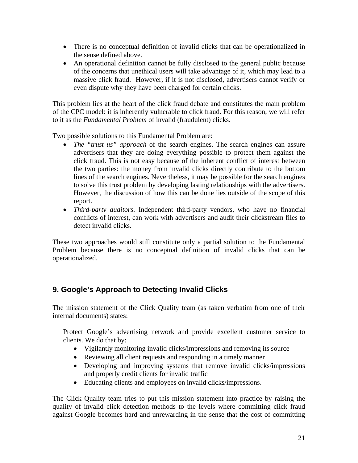- There is no conceptual definition of invalid clicks that can be operationalized in the sense defined above.
- An operational definition cannot be fully disclosed to the general public because of the concerns that unethical users will take advantage of it, which may lead to a massive click fraud. However, if it is not disclosed, advertisers cannot verify or even dispute why they have been charged for certain clicks.

This problem lies at the heart of the click fraud debate and constitutes the main problem of the CPC model: it is inherently vulnerable to click fraud. For this reason, we will refer to it as the *Fundamental Problem* of invalid (fraudulent) clicks.

Two possible solutions to this Fundamental Problem are:

- *The "trust us" approach* of the search engines. The search engines can assure advertisers that they are doing everything possible to protect them against the click fraud. This is not easy because of the inherent conflict of interest between the two parties: the money from invalid clicks directly contribute to the bottom lines of the search engines. Nevertheless, it may be possible for the search engines to solve this trust problem by developing lasting relationships with the advertisers. However, the discussion of how this can be done lies outside of the scope of this report.
- *Third-party auditors*. Independent third-party vendors, who have no financial conflicts of interest, can work with advertisers and audit their clickstream files to detect invalid clicks.

These two approaches would still constitute only a partial solution to the Fundamental Problem because there is no conceptual definition of invalid clicks that can be operationalized.

## **9. Google's Approach to Detecting Invalid Clicks**

The mission statement of the Click Quality team (as taken verbatim from one of their internal documents) states:

Protect Google's advertising network and provide excellent customer service to clients. We do that by:

- Vigilantly monitoring invalid clicks/impressions and removing its source
- Reviewing all client requests and responding in a timely manner
- Developing and improving systems that remove invalid clicks/impressions and properly credit clients for invalid traffic
- Educating clients and employees on invalid clicks/impressions.

The Click Quality team tries to put this mission statement into practice by raising the quality of invalid click detection methods to the levels where committing click fraud against Google becomes hard and unrewarding in the sense that the cost of committing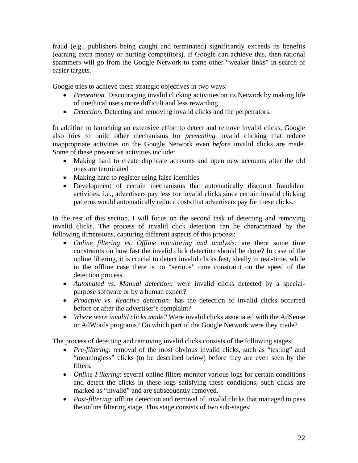fraud (e.g., publishers being caught and terminated) significantly exceeds its benefits (earning extra money or hurting competitors). If Google can achieve this, then rational spammers will go from the Google Network to some other "weaker links" in search of easier targets.

Google tries to achieve these strategic objectives in two ways:

- *Prevention.* Discouraging invalid clicking activities on its Network by making life of unethical users more difficult and less rewarding
- *Detection*. Detecting and removing invalid clicks and the perpetrators.

In addition to launching an extensive effort to detect and remove invalid clicks, Google also tries to build other mechanisms for *preventing* invalid clicking that reduce inappropriate activities on the Google Network even *before* invalid clicks are made. Some of these preventive activities include:

- Making hard to create duplicate accounts and open new accounts after the old ones are terminated
- Making hard to register using false identities
- Development of certain mechanisms that automatically discount fraudulent activities, i.e., advertisers pay less for invalid clicks since certain invalid clicking patterns would automatically reduce costs that advertisers pay for these clicks.

In the rest of this section, I will focus on the second task of detecting and removing invalid clicks. The process of invalid click detection can be characterized by the following dimensions, capturing different aspects of this process:

- *Online filtering vs. Offline monitoring and analysis:* are there some time constraints on how fast the invalid click detection should be done? In case of the online filtering, it is crucial to detect invalid clicks fast, ideally in real-time, while in the offline case there is no "serious" time constraint on the speed of the detection process.
- *Automated vs*. *Manual detection:* were invalid clicks detected by a specialpurpose software or by a human expert?
- *Proactive vs*. *Reactive detection:* has the detection of invalid clicks occurred before or after the advertiser's complaint?
- *Where were invalid clicks made?* Were invalid clicks associated with the AdSense or AdWords programs? On which part of the Google Network were they made?

The process of detecting and removing invalid clicks consists of the following stages:

- *Pre-filtering*: removal of the most obvious invalid clicks, such as "testing" and "meaningless" clicks (to be described below) before they are even seen by the filters.
- *Online Filtering*: several online filters monitor various logs for certain conditions and detect the clicks in these logs satisfying these conditions; such clicks are marked as "invalid" and are subsequently removed.
- *Post-filtering*: offline detection and removal of invalid clicks that managed to pass the online filtering stage. This stage consists of two sub-stages: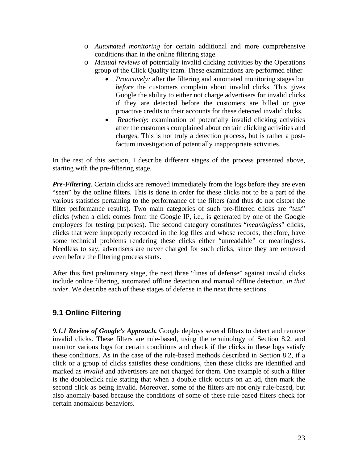- o *Automated monitoring* for certain additional and more comprehensive conditions than in the online filtering stage.
- o *Manual reviews* of potentially invalid clicking activities by the Operations group of the Click Quality team. These examinations are performed either
	- *Proactively:* after the filtering and automated monitoring stages but *before* the customers complain about invalid clicks. This gives Google the ability to either not charge advertisers for invalid clicks if they are detected before the customers are billed or give proactive credits to their accounts for these detected invalid clicks.
	- *Reactively*: examination of potentially invalid clicking activities after the customers complained about certain clicking activities and charges. This is not truly a detection process, but is rather a postfactum investigation of potentially inappropriate activities.

In the rest of this section, I describe different stages of the process presented above, starting with the pre-filtering stage*.*

*Pre-Filtering.* Certain clicks are removed immediately from the logs before they are even "seen" by the online filters. This is done in order for these clicks not to be a part of the various statistics pertaining to the performance of the filters (and thus do not distort the filter performance results). Two main categories of such pre-filtered clicks are "*test*" clicks (when a click comes from the Google IP, i.e., is generated by one of the Google employees for testing purposes). The second category constitutes "*meaningless*" clicks, clicks that were improperly recorded in the log files and whose records, therefore, have some technical problems rendering these clicks either "unreadable" or meaningless. Needless to say, advertisers are never charged for such clicks, since they are removed even before the filtering process starts.

After this first preliminary stage, the next three "lines of defense" against invalid clicks include online filtering, automated offline detection and manual offline detection, *in that order*. We describe each of these stages of defense in the next three sections.

## **9.1 Online Filtering**

9.1.1 Review of Google's Approach. Google deploys several filters to detect and remove invalid clicks. These filters are rule-based, using the terminology of Section 8.2, and monitor various logs for certain conditions and check if the clicks in these logs satisfy these conditions. As in the case of the rule-based methods described in Section 8.2, if a click or a group of clicks satisfies these conditions, then these clicks are identified and marked as *invalid* and advertisers are not charged for them. One example of such a filter is the doubleclick rule stating that when a double click occurs on an ad, then mark the second click as being invalid. Moreover, some of the filters are not only rule-based, but also anomaly-based because the conditions of some of these rule-based filters check for certain anomalous behaviors.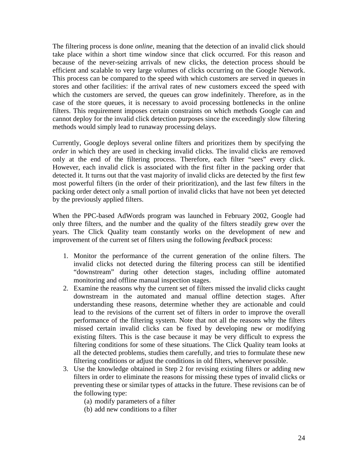The filtering process is done *online*, meaning that the detection of an invalid click should take place within a short time window since that click occurred. For this reason and because of the never-seizing arrivals of new clicks, the detection process should be efficient and scalable to very large volumes of clicks occurring on the Google Network. This process can be compared to the speed with which customers are served in queues in stores and other facilities: if the arrival rates of new customers exceed the speed with which the customers are served, the queues can grow indefinitely. Therefore, as in the case of the store queues, it is necessary to avoid processing bottlenecks in the online filters. This requirement imposes certain constraints on which methods Google can and cannot deploy for the invalid click detection purposes since the exceedingly slow filtering methods would simply lead to runaway processing delays.

Currently, Google deploys several online filters and prioritizes them by specifying the *order* in which they are used in checking invalid clicks. The invalid clicks are removed only at the end of the filtering process. Therefore, each filter "sees" every click. However, each invalid click is associated with the first filter in the packing order that detected it. It turns out that the vast majority of invalid clicks are detected by the first few most powerful filters (in the order of their prioritization), and the last few filters in the packing order detect only a small portion of invalid clicks that have not been yet detected by the previously applied filters.

When the PPC-based AdWords program was launched in February 2002, Google had only three filters, and the number and the quality of the filters steadily grew over the years. The Click Quality team constantly works on the development of new and improvement of the current set of filters using the following *feedback* process:

- 1. Monitor the performance of the current generation of the online filters. The invalid clicks not detected during the filtering process can still be identified "downstream" during other detection stages, including offline automated monitoring and offline manual inspection stages.
- 2. Examine the reasons why the current set of filters missed the invalid clicks caught downstream in the automated and manual offline detection stages. After understanding these reasons, determine whether they are actionable and could lead to the revisions of the current set of filters in order to improve the overall performance of the filtering system. Note that not all the reasons why the filters missed certain invalid clicks can be fixed by developing new or modifying existing filters. This is the case because it may be very difficult to express the filtering conditions for some of these situations. The Click Quality team looks at all the detected problems, studies them carefully, and tries to formulate these new filtering conditions or adjust the conditions in old filters, whenever possible.
- 3. Use the knowledge obtained in Step 2 for revising existing filters or adding new filters in order to eliminate the reasons for missing these types of invalid clicks or preventing these or similar types of attacks in the future. These revisions can be of the following type:
	- (a) modify parameters of a filter
	- (b) add new conditions to a filter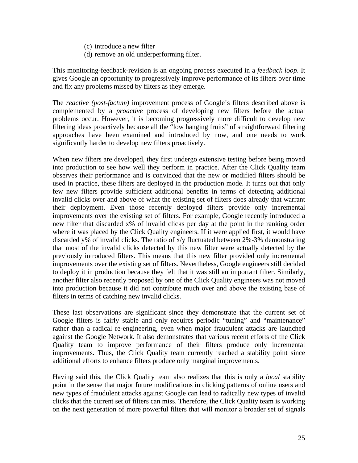- (c) introduce a new filter
- (d) remove an old underperforming filter.

This monitoring-feedback-revision is an ongoing process executed in a *feedback loop*. It gives Google an opportunity to progressively improve performance of its filters over time and fix any problems missed by filters as they emerge.

The *reactive (post-factum)* improvement process of Google's filters described above is complemented by a *proactive* process of developing new filters before the actual problems occur. However, it is becoming progressively more difficult to develop new filtering ideas proactively because all the "low hanging fruits" of straightforward filtering approaches have been examined and introduced by now, and one needs to work significantly harder to develop new filters proactively.

When new filters are developed, they first undergo extensive testing before being moved into production to see how well they perform in practice. After the Click Quality team observes their performance and is convinced that the new or modified filters should be used in practice, these filters are deployed in the production mode. It turns out that only few new filters provide sufficient additional benefits in terms of detecting additional invalid clicks over and above of what the existing set of filters does already that warrant their deployment. Even those recently deployed filters provide only incremental improvements over the existing set of filters. For example, Google recently introduced a new filter that discarded x% of invalid clicks per day at the point in the ranking order where it was placed by the Click Quality engineers. If it were applied first, it would have discarded y% of invalid clicks. The ratio of x/y fluctuated between 2%-3% demonstrating that most of the invalid clicks detected by this new filter were actually detected by the previously introduced filters. This means that this new filter provided only incremental improvements over the existing set of filters. Nevertheless, Google engineers still decided to deploy it in production because they felt that it was still an important filter. Similarly, another filter also recently proposed by one of the Click Quality engineers was not moved into production because it did not contribute much over and above the existing base of filters in terms of catching new invalid clicks.

These last observations are significant since they demonstrate that the current set of Google filters is fairly stable and only requires periodic "tuning" and "maintenance" rather than a radical re-engineering, even when major fraudulent attacks are launched against the Google Network. It also demonstrates that various recent efforts of the Click Quality team to improve performance of their filters produce only incremental improvements. Thus, the Click Quality team currently reached a stability point since additional efforts to enhance filters produce only marginal improvements.

Having said this, the Click Quality team also realizes that this is only a *local* stability point in the sense that major future modifications in clicking patterns of online users and new types of fraudulent attacks against Google can lead to radically new types of invalid clicks that the current set of filters can miss. Therefore, the Click Quality team is working on the next generation of more powerful filters that will monitor a broader set of signals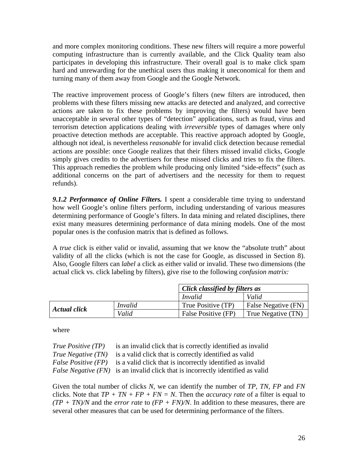and more complex monitoring conditions. These new filters will require a more powerful computing infrastructure than is currently available, and the Click Quality team also participates in developing this infrastructure. Their overall goal is to make click spam hard and unrewarding for the unethical users thus making it uneconomical for them and turning many of them away from Google and the Google Network.

The reactive improvement process of Google's filters (new filters are introduced, then problems with these filters missing new attacks are detected and analyzed, and corrective actions are taken to fix these problems by improving the filters) would have been unacceptable in several other types of "detection" applications, such as fraud, virus and terrorism detection applications dealing with *irreversible* types of damages where only proactive detection methods are acceptable. This reactive approach adopted by Google, although not ideal, is nevertheless *reasonable* for invalid click detection because remedial actions are possible: once Google realizes that their filters missed invalid clicks, Google simply gives credits to the advertisers for these missed clicks and tries to fix the filters. This approach remedies the problem while producing only limited "side-effects" (such as additional concerns on the part of advertisers and the necessity for them to request refunds).

*9.1.2 Performance of Online Filters.* I spent a considerable time trying to understand how well Google's online filters perform, including understanding of various measures determining performance of Google's filters. In data mining and related disciplines, there exist many measures determining performance of data mining models. One of the most popular ones is the confusion matrix that is defined as follows.

A *true* click is either valid or invalid, assuming that we know the "absolute truth" about validity of all the clicks (which is not the case for Google, as discussed in Section 8). Also, Google filters can *label* a click as either valid or invalid. These two dimensions (the actual click vs. click labeling by filters), give rise to the following *confusion matrix:* 

|                     |                | Click classified by filters as |                            |
|---------------------|----------------|--------------------------------|----------------------------|
|                     |                | Invalid                        | Valid                      |
| <b>Actual click</b> | <i>Invalid</i> | True Positive (TP)             | <b>False Negative (FN)</b> |
|                     | Valid          | False Positive (FP)            | True Negative (TN)         |

where

| <i>True Positive (TP)</i>  | is an invalid click that is correctly identified as invalid                            |
|----------------------------|----------------------------------------------------------------------------------------|
| <i>True Negative (TN)</i>  | is a valid click that is correctly identified as valid                                 |
| <i>False Positive (FP)</i> | is a valid click that is incorrectly identified as invalid                             |
|                            | <i>False Negative (FN)</i> is an invalid click that is incorrectly identified as valid |

Given the total number of clicks *N,* we can identify the number of *TP, TN, FP* and *FN* clicks. Note that  $TP + TN + FP + FN = N$ . Then the *accuracy rate* of a filter is equal to *(TP + TN)/N* and the *error rate* to *(FP + FN)/N*. In addition to these measures, there are several other measures that can be used for determining performance of the filters.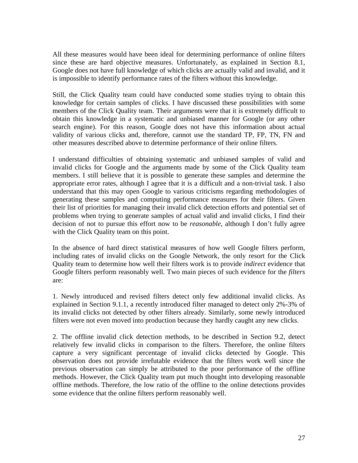All these measures would have been ideal for determining performance of online filters since these are hard objective measures. Unfortunately, as explained in Section 8.1, Google does not have full knowledge of which clicks are actually valid and invalid, and it is impossible to identify performance rates of the filters without this knowledge.

Still, the Click Quality team could have conducted some studies trying to obtain this knowledge for certain samples of clicks. I have discussed these possibilities with some members of the Click Quality team. Their arguments were that it is extremely difficult to obtain this knowledge in a systematic and unbiased manner for Google (or any other search engine). For this reason, Google does not have this information about actual validity of various clicks and, therefore, cannot use the standard TP, FP, TN, FN and other measures described above to determine performance of their online filters.

I understand difficulties of obtaining systematic and unbiased samples of valid and invalid clicks for Google and the arguments made by some of the Click Quality team members. I still believe that it is possible to generate these samples and determine the appropriate error rates, although I agree that it is a difficult and a non-trivial task. I also understand that this may open Google to various criticisms regarding methodologies of generating these samples and computing performance measures for their filters. Given their list of priorities for managing their invalid click detection efforts and potential set of problems when trying to generate samples of actual valid and invalid clicks, I find their decision of not to pursue this effort now to be *reasonable*, although I don't fully agree with the Click Quality team on this point.

In the absence of hard direct statistical measures of how well Google filters perform, including rates of invalid clicks on the Google Network, the only resort for the Click Quality team to determine how well their filters work is to provide *indirect* evidence that Google filters perform reasonably well. Two main pieces of such evidence for the *filters* are:

1. Newly introduced and revised filters detect only few additional invalid clicks. As explained in Section 9.1.1, a recently introduced filter managed to detect only 2%-3% of its invalid clicks not detected by other filters already. Similarly, some newly introduced filters were not even moved into production because they hardly caught any new clicks.

2. The offline invalid click detection methods, to be described in Section 9.2, detect relatively few invalid clicks in comparison to the filters. Therefore, the online filters capture a very significant percentage of invalid clicks detected by Google. This observation does not provide irrefutable evidence that the filters work well since the previous observation can simply be attributed to the poor performance of the offline methods. However, the Click Quality team put much thought into developing reasonable offline methods. Therefore, the low ratio of the offline to the online detections provides some evidence that the online filters perform reasonably well.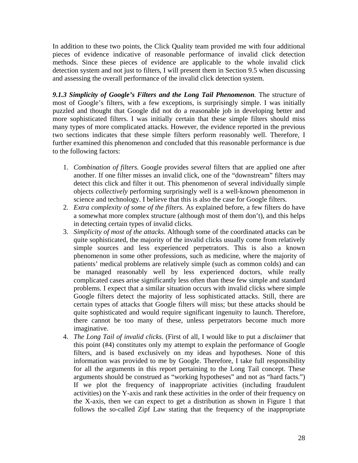In addition to these two points, the Click Quality team provided me with four additional pieces of evidence indicative of reasonable performance of invalid click detection methods. Since these pieces of evidence are applicable to the whole invalid click detection system and not just to filters, I will present them in Section 9.5 when discussing and assessing the overall performance of the invalid click detection system.

*9.1.3 Simplicity of Google's Filters and the Long Tail Phenomenon.* The structure of most of Google's filters, with a few exceptions, is surprisingly simple. I was initially puzzled and thought that Google did not do a reasonable job in developing better and more sophisticated filters. I was initially certain that these simple filters should miss many types of more complicated attacks. However, the evidence reported in the previous two sections indicates that these simple filters perform reasonably well. Therefore, I further examined this phenomenon and concluded that this reasonable performance is due to the following factors:

- 1. *Combination of filters.* Google provides *several* filters that are applied one after another. If one filter misses an invalid click, one of the "downstream" filters may detect this click and filter it out. This phenomenon of several individually simple objects *collectively* performing surprisingly well is a well-known phenomenon in science and technology. I believe that this is also the case for Google filters.
- 2. *Extra complexity of some of the filters.* As explained before, a few filters do have a somewhat more complex structure (although most of them don't), and this helps in detecting certain types of invalid clicks.
- 3. *Simplicity of most of the attacks*. Although some of the coordinated attacks can be quite sophisticated, the majority of the invalid clicks usually come from relatively simple sources and less experienced perpetrators. This is also a known phenomenon in some other professions, such as medicine, where the majority of patients' medical problems are relatively simple (such as common colds) and can be managed reasonably well by less experienced doctors, while really complicated cases arise significantly less often than these few simple and standard problems. I expect that a similar situation occurs with invalid clicks where simple Google filters detect the majority of less sophisticated attacks. Still, there are certain types of attacks that Google filters will miss; but these attacks should be quite sophisticated and would require significant ingenuity to launch. Therefore, there cannot be too many of these, unless perpetrators become much more imaginative.
- 4. *The Long Tail of invalid clicks*. (First of all, I would like to put a *disclaimer* that this point (#4) constitutes only my attempt to explain the performance of Google filters, and is based exclusively on my ideas and hypotheses. None of this information was provided to me by Google. Therefore, I take full responsibility for all the arguments in this report pertaining to the Long Tail concept. These arguments should be construed as "working hypotheses" and not as "hard facts.") If we plot the frequency of inappropriate activities (including fraudulent activities) on the Y-axis and rank these activities in the order of their frequency on the X-axis, then we can expect to get a distribution as shown in Figure 1 that follows the so-called Zipf Law stating that the frequency of the inappropriate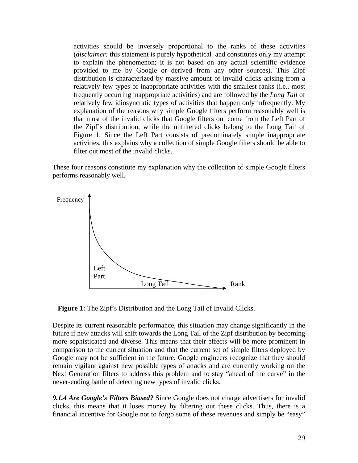activities should be inversely proportional to the ranks of these activities (*disclaimer:* this statement is purely hypothetical and constitutes only my attempt to explain the phenomenon; it is not based on any actual scientific evidence provided to me by Google or derived from any other sources). This Zipf distribution is characterized by massive amount of invalid clicks arising from a relatively few types of inappropriate activities with the smallest ranks (i.e., most frequently occurring inappropriate activities) and are followed by the *Long Tail* of relatively few idiosyncratic types of activities that happen only infrequently. My explanation of the reasons why simple Google filters perform reasonably well is that most of the invalid clicks that Google filters out come from the Left Part of the Zipf's distribution, while the unfiltered clicks belong to the Long Tail of Figure 1. Since the Left Part consists of predominately simple inappropriate activities, this explains why a collection of simple Google filters should be able to filter out most of the invalid clicks.

These four reasons constitute my explanation why the collection of simple Google filters performs reasonably well.



**Figure 1:** The Zipf's Distribution and the Long Tail of Invalid Clicks.

Despite its current reasonable performance, this situation may change significantly in the future if new attacks will shift towards the Long Tail of the Zipf distribution by becoming more sophisticated and diverse. This means that their effects will be more prominent in comparison to the current situation and that the current set of simple filters deployed by Google may not be sufficient in the future. Google engineers recognize that they should remain vigilant against new possible types of attacks and are currently working on the Next Generation filters to address this problem and to stay "ahead of the curve" in the never-ending battle of detecting new types of invalid clicks.

*9.1.4 Are Google's Filters Biased?* Since Google does not charge advertisers for invalid clicks, this means that it loses money by filtering out these clicks. Thus, there is a financial incentive for Google not to forgo some of these revenues and simply be "easy"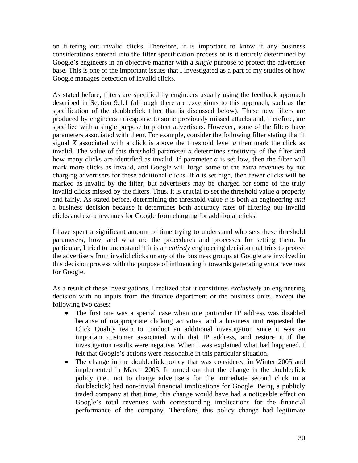on filtering out invalid clicks. Therefore, it is important to know if any business considerations entered into the filter specification process or is it entirely determined by Google's engineers in an objective manner with a *single* purpose to protect the advertiser base. This is one of the important issues that I investigated as a part of my studies of how Google manages detection of invalid clicks.

As stated before, filters are specified by engineers usually using the feedback approach described in Section 9.1.1 (although there are exceptions to this approach, such as the specification of the doubleclick filter that is discussed below). These new filters are produced by engineers in response to some previously missed attacks and, therefore, are specified with a single purpose to protect advertisers. However, some of the filters have parameters associated with them. For example, consider the following filter stating that if signal *X* associated with a click is above the threshold level *a* then mark the click as invalid. The value of this threshold parameter *a* determines sensitivity of the filter and how many clicks are identified as invalid. If parameter *a* is set low, then the filter will mark more clicks as invalid, and Google will forgo some of the extra revenues by not charging advertisers for these additional clicks. If *a* is set high, then fewer clicks will be marked as invalid by the filter; but advertisers may be charged for some of the truly invalid clicks missed by the filters. Thus, it is crucial to set the threshold value *a* properly and fairly. As stated before, determining the threshold value *a* is both an engineering *and* a business decision because it determines both accuracy rates of filtering out invalid clicks and extra revenues for Google from charging for additional clicks.

I have spent a significant amount of time trying to understand who sets these threshold parameters, how, and what are the procedures and processes for setting them. In particular, I tried to understand if it is an *entirely* engineering decision that tries to protect the advertisers from invalid clicks or any of the business groups at Google are involved in this decision process with the purpose of influencing it towards generating extra revenues for Google.

As a result of these investigations, I realized that it constitutes *exclusively* an engineering decision with no inputs from the finance department or the business units, except the following two cases:

- The first one was a special case when one particular IP address was disabled because of inappropriate clicking activities, and a business unit requested the Click Quality team to conduct an additional investigation since it was an important customer associated with that IP address, and restore it if the investigation results were negative. When I was explained what had happened, I felt that Google's actions were reasonable in this particular situation.
- The change in the doubleclick policy that was considered in Winter 2005 and implemented in March 2005. It turned out that the change in the doubleclick policy (i.e., not to charge advertisers for the immediate second click in a doubleclick) had non-trivial financial implications for Google. Being a publicly traded company at that time, this change would have had a noticeable effect on Google's total revenues with corresponding implications for the financial performance of the company. Therefore, this policy change had legitimate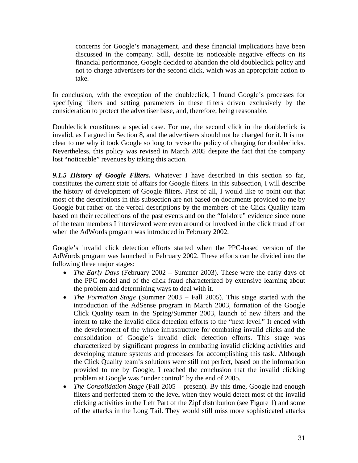concerns for Google's management, and these financial implications have been discussed in the company. Still, despite its noticeable negative effects on its financial performance, Google decided to abandon the old doubleclick policy and not to charge advertisers for the second click, which was an appropriate action to take.

In conclusion, with the exception of the doubleclick, I found Google's processes for specifying filters and setting parameters in these filters driven exclusively by the consideration to protect the advertiser base, and, therefore, being reasonable.

Doubleclick constitutes a special case. For me, the second click in the doubleclick is invalid, as I argued in Section 8, and the advertisers should not be charged for it. It is not clear to me why it took Google so long to revise the policy of charging for doubleclicks. Nevertheless, this policy was revised in March 2005 despite the fact that the company lost "noticeable" revenues by taking this action.

*9.1.5 History of Google Filters.* Whatever I have described in this section so far, constitutes the current state of affairs for Google filters. In this subsection, I will describe the history of development of Google filters. First of all, I would like to point out that most of the descriptions in this subsection are not based on documents provided to me by Google but rather on the verbal descriptions by the members of the Click Quality team based on their recollections of the past events and on the "folklore" evidence since none of the team members I interviewed were even around or involved in the click fraud effort when the AdWords program was introduced in February 2002.

Google's invalid click detection efforts started when the PPC-based version of the AdWords program was launched in February 2002. These efforts can be divided into the following three major stages:

- *The Early Days* (February 2002 Summer 2003). These were the early days of the PPC model and of the click fraud characterized by extensive learning about the problem and determining ways to deal with it.
- *The Formation Stage* (Summer 2003 Fall 2005). This stage started with the introduction of the AdSense program in March 2003, formation of the Google Click Quality team in the Spring/Summer 2003, launch of new filters and the intent to take the invalid click detection efforts to the "next level." It ended with the development of the whole infrastructure for combating invalid clicks and the consolidation of Google's invalid click detection efforts. This stage was characterized by significant progress in combating invalid clicking activities and developing mature systems and processes for accomplishing this task. Although the Click Quality team's solutions were still not perfect, based on the information provided to me by Google, I reached the conclusion that the invalid clicking problem at Google was "under control" by the end of 2005.
- *The Consolidation Stage* (Fall 2005 present). By this time, Google had enough filters and perfected them to the level when they would detect most of the invalid clicking activities in the Left Part of the Zipf distribution (see Figure 1) and some of the attacks in the Long Tail. They would still miss more sophisticated attacks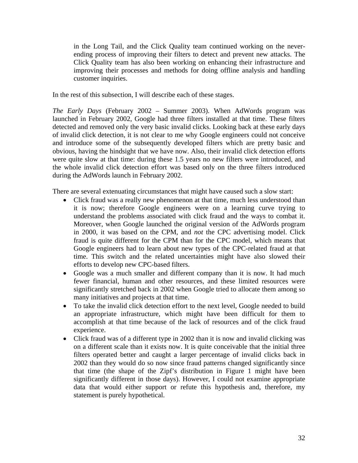in the Long Tail, and the Click Quality team continued working on the neverending process of improving their filters to detect and prevent new attacks. The Click Quality team has also been working on enhancing their infrastructure and improving their processes and methods for doing offline analysis and handling customer inquiries.

In the rest of this subsection, I will describe each of these stages.

*The Early Days* (February 2002 – Summer 2003). When AdWords program was launched in February 2002, Google had three filters installed at that time. These filters detected and removed only the very basic invalid clicks. Looking back at these early days of invalid click detection, it is not clear to me why Google engineers could not conceive and introduce some of the subsequently developed filters which are pretty basic and obvious, having the hindsight that we have now. Also, their invalid click detection efforts were quite slow at that time: during these 1.5 years no new filters were introduced, and the whole invalid click detection effort was based only on the three filters introduced during the AdWords launch in February 2002.

There are several extenuating circumstances that might have caused such a slow start:

- Click fraud was a really new phenomenon at that time, much less understood than it is now; therefore Google engineers were on a learning curve trying to understand the problems associated with click fraud and the ways to combat it. Moreover, when Google launched the original version of the AdWords program in 2000, it was based on the CPM, and *not* the CPC advertising model. Click fraud is quite different for the CPM than for the CPC model, which means that Google engineers had to learn about new types of the CPC-related fraud at that time. This switch and the related uncertainties might have also slowed their efforts to develop new CPC-based filters.
- Google was a much smaller and different company than it is now. It had much fewer financial, human and other resources, and these limited resources were significantly stretched back in 2002 when Google tried to allocate them among so many initiatives and projects at that time.
- To take the invalid click detection effort to the next level, Google needed to build an appropriate infrastructure, which might have been difficult for them to accomplish at that time because of the lack of resources and of the click fraud experience.
- Click fraud was of a different type in 2002 than it is now and invalid clicking was on a different scale than it exists now. It is quite conceivable that the initial three filters operated better and caught a larger percentage of invalid clicks back in 2002 than they would do so now since fraud patterns changed significantly since that time (the shape of the Zipf's distribution in Figure 1 might have been significantly different in those days). However, I could not examine appropriate data that would either support or refute this hypothesis and, therefore, my statement is purely hypothetical.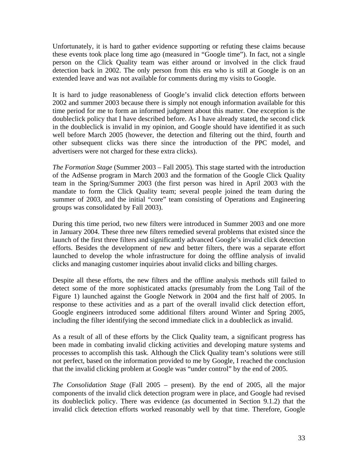Unfortunately, it is hard to gather evidence supporting or refuting these claims because these events took place long time ago (measured in "Google time"). In fact, not a single person on the Click Quality team was either around or involved in the click fraud detection back in 2002. The only person from this era who is still at Google is on an extended leave and was not available for comments during my visits to Google.

It is hard to judge reasonableness of Google's invalid click detection efforts between 2002 and summer 2003 because there is simply not enough information available for this time period for me to form an informed judgment about this matter. One exception is the doubleclick policy that I have described before. As I have already stated, the second click in the doubleclick is invalid in my opinion, and Google should have identified it as such well before March 2005 (however, the detection and filtering out the third, fourth and other subsequent clicks was there since the introduction of the PPC model, and advertisers were not charged for these extra clicks).

*The Formation Stage* (Summer 2003 – Fall 2005). This stage started with the introduction of the AdSense program in March 2003 and the formation of the Google Click Quality team in the Spring/Summer 2003 (the first person was hired in April 2003 with the mandate to form the Click Quality team; several people joined the team during the summer of 2003, and the initial "core" team consisting of Operations and Engineering groups was consolidated by Fall 2003).

During this time period, two new filters were introduced in Summer 2003 and one more in January 2004. These three new filters remedied several problems that existed since the launch of the first three filters and significantly advanced Google's invalid click detection efforts. Besides the development of new and better filters, there was a separate effort launched to develop the whole infrastructure for doing the offline analysis of invalid clicks and managing customer inquiries about invalid clicks and billing charges.

Despite all these efforts, the new filters and the offline analysis methods still failed to detect some of the more sophisticated attacks (presumably from the Long Tail of the Figure 1) launched against the Google Network in 2004 and the first half of 2005. In response to these activities and as a part of the overall invalid click detection effort, Google engineers introduced some additional filters around Winter and Spring 2005, including the filter identifying the second immediate click in a doubleclick as invalid.

As a result of all of these efforts by the Click Quality team, a significant progress has been made in combating invalid clicking activities and developing mature systems and processes to accomplish this task. Although the Click Quality team's solutions were still not perfect, based on the information provided to me by Google, I reached the conclusion that the invalid clicking problem at Google was "under control" by the end of 2005.

*The Consolidation Stage* (Fall 2005 – present). By the end of 2005, all the major components of the invalid click detection program were in place, and Google had revised its doubleclick policy. There was evidence (as documented in Section 9.1.2) that the invalid click detection efforts worked reasonably well by that time. Therefore, Google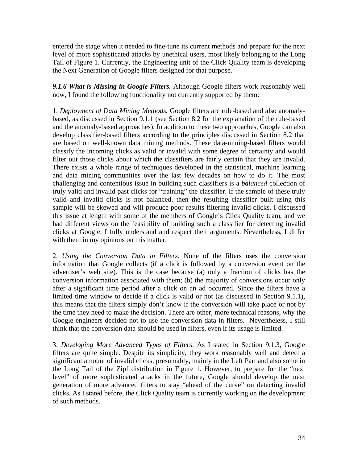entered the stage when it needed to fine-tune its current methods and prepare for the next level of more sophisticated attacks by unethical users, most likely belonging to the Long Tail of Figure 1. Currently, the Engineering unit of the Click Quality team is developing the Next Generation of Google filters designed for that purpose.

*9.1.6 What is Missing in Google Filters.* Although Google filters work reasonably well now, I found the following functionality not currently supported by them:

1. *Deployment of Data Mining Methods.* Google filters are rule-based and also anomalybased, as discussed in Section 9.1.1 (see Section 8.2 for the explanation of the rule-based and the anomaly-based approaches). In addition to these two approaches, Google can also develop classifier-based filters according to the principles discussed in Section 8.2 that are based on well-known data mining methods. These data-mining-based filters would classify the incoming clicks as valid or invalid with some degree of certainty and would filter out those clicks about which the classifiers are fairly certain that they are invalid. There exists a whole range of techniques developed in the statistical, machine learning and data mining communities over the last few decades on how to do it. The most challenging and contentious issue in building such classifiers is a *balanced* collection of truly valid and invalid past clicks for "training" the classifier. If the sample of these truly valid and invalid clicks is not balanced, then the resulting classifier built using this sample will be skewed and will produce poor results filtering invalid clicks. I discussed this issue at length with some of the members of Google's Click Quality team, and we had different views on the feasibility of building such a classifier for detecting invalid clicks at Google. I fully understand and respect their arguments. Nevertheless, I differ with them in my opinions on this matter.

2. *Using the Conversion Data in Filters*. None of the filters uses the conversion information that Google collects (if a click is followed by a conversion event on the advertiser's web site). This is the case because (a) only a fraction of clicks has the conversion information associated with them; (b) the majority of conversions occur only after a significant time period after a click on an ad occurred. Since the filters have a limited time window to decide if a click is valid or not (as discussed in Section 9.1.1), this means that the filters simply don't know if the conversion will take place or not by the time they need to make the decision. There are other, more technical reasons, why the Google engineers decided not to use the conversion data in filters. Nevertheless, I still think that the conversion data should be used in filters, even if its usage is limited.

3. *Developing More Advanced Types of Filters*. As I stated in Section 9.1.3, Google filters are quite simple. Despite its simplicity, they work reasonably well and detect a significant amount of invalid clicks, presumably, mainly in the Left Part and also some in the Long Tail of the Zipf distribution in Figure 1. However, to prepare for the "next level" of more sophisticated attacks in the future, Google should develop the next generation of more advanced filters to stay "ahead of the curve" on detecting invalid clicks. As I stated before, the Click Quality team is currently working on the development of such methods.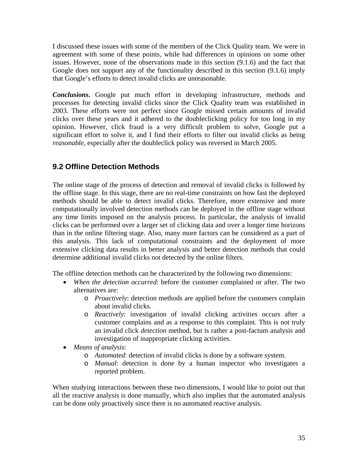I discussed these issues with some of the members of the Click Quality team. We were in agreement with some of these points, while had differences in opinions on some other issues. However, none of the observations made in this section (9.1.6) and the fact that Google does not support any of the functionality described in this section (9.1.6) imply that Google's efforts to detect invalid clicks are unreasonable.

*Conclusions***.** Google put much effort in developing infrastructure, methods and processes for detecting invalid clicks since the Click Quality team was established in 2003. These efforts were not perfect since Google missed certain amounts of invalid clicks over these years and it adhered to the doubleclicking policy for too long in my opinion. However, click fraud is a very difficult problem to solve, Google put a significant effort to solve it, and I find their efforts to filter out invalid clicks as being *reasonable*, especially after the doubleclick policy was reversed in March 2005.

### **9.2 Offline Detection Methods**

The online stage of the process of detection and removal of invalid clicks is followed by the offline stage. In this stage, there are no real-time constraints on how fast the deployed methods should be able to detect invalid clicks. Therefore, more extensive and more computationally involved detection methods can be deployed in the offline stage without any time limits imposed on the analysis process. In particular, the analysis of invalid clicks can be performed over a larger set of clicking data and over a longer time horizons than in the online filtering stage. Also, many more factors can be considered as a part of this analysis. This lack of computational constraints and the deployment of more extensive clicking data results in better analysis and better detection methods that could determine additional invalid clicks not detected by the online filters.

The offline detection methods can be characterized by the following two dimensions:

- *When the detection occurred*: before the customer complained or after. The two alternatives are:
	- o *Proactively*: detection methods are applied before the customers complain about invalid clicks.
	- o *Reactively*: investigation of invalid clicking activities occurs after a customer complains and as a response to this complaint. This is not truly an invalid click *detection* method, but is rather a post-factum analysis and investigation of inappropriate clicking activities.
- *Means of analysis*:
	- o *Automated*: detection of invalid clicks is done by a software system.
	- o *Manual*: detection is done by a human inspector who investigates a reported problem.

When studying interactions between these two dimensions, I would like to point out that all the reactive analysis is done manually, which also implies that the automated analysis can be done only proactively since there is no automated reactive analysis.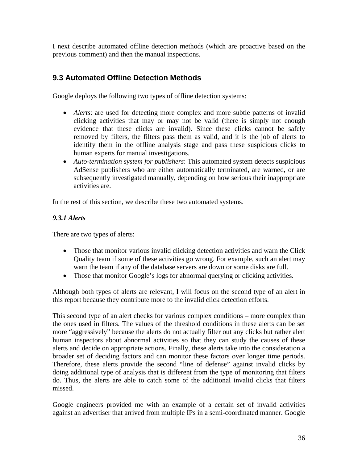I next describe automated offline detection methods (which are proactive based on the previous comment) and then the manual inspections.

### **9.3 Automated Offline Detection Methods**

Google deploys the following two types of offline detection systems:

- *Alerts*: are used for detecting more complex and more subtle patterns of invalid clicking activities that may or may not be valid (there is simply not enough evidence that these clicks are invalid). Since these clicks cannot be safely removed by filters, the filters pass them as valid, and it is the job of alerts to identify them in the offline analysis stage and pass these suspicious clicks to human experts for manual investigations.
- *Auto-termination system for publishers*: This automated system detects suspicious AdSense publishers who are either automatically terminated, are warned, or are subsequently investigated manually, depending on how serious their inappropriate activities are.

In the rest of this section, we describe these two automated systems.

#### *9.3.1 Alerts*

There are two types of alerts:

- Those that monitor various invalid clicking detection activities and warn the Click Quality team if some of these activities go wrong. For example, such an alert may warn the team if any of the database servers are down or some disks are full.
- Those that monitor Google's logs for abnormal querying or clicking activities.

Although both types of alerts are relevant, I will focus on the second type of an alert in this report because they contribute more to the invalid click detection efforts.

This second type of an alert checks for various complex conditions – more complex than the ones used in filters. The values of the threshold conditions in these alerts can be set more "aggressively" because the alerts do not actually filter out any clicks but rather alert human inspectors about abnormal activities so that they can study the causes of these alerts and decide on appropriate actions. Finally, these alerts take into the consideration a broader set of deciding factors and can monitor these factors over longer time periods. Therefore, these alerts provide the second "line of defense" against invalid clicks by doing additional type of analysis that is different from the type of monitoring that filters do. Thus, the alerts are able to catch some of the additional invalid clicks that filters missed.

Google engineers provided me with an example of a certain set of invalid activities against an advertiser that arrived from multiple IPs in a semi-coordinated manner. Google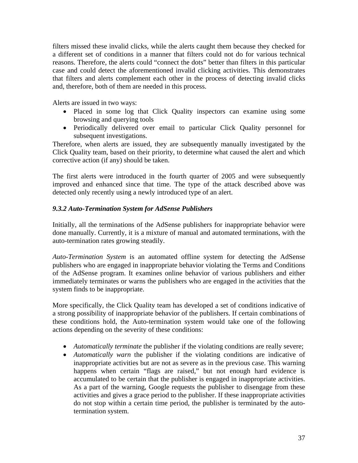filters missed these invalid clicks, while the alerts caught them because they checked for a different set of conditions in a manner that filters could not do for various technical reasons. Therefore, the alerts could "connect the dots" better than filters in this particular case and could detect the aforementioned invalid clicking activities. This demonstrates that filters and alerts complement each other in the process of detecting invalid clicks and, therefore, both of them are needed in this process.

Alerts are issued in two ways:

- Placed in some log that Click Quality inspectors can examine using some browsing and querying tools
- Periodically delivered over email to particular Click Quality personnel for subsequent investigations.

Therefore, when alerts are issued, they are subsequently manually investigated by the Click Quality team, based on their priority, to determine what caused the alert and which corrective action (if any) should be taken.

The first alerts were introduced in the fourth quarter of 2005 and were subsequently improved and enhanced since that time. The type of the attack described above was detected only recently using a newly introduced type of an alert.

#### *9.3.2 Auto-Termination System for AdSense Publishers*

Initially, all the terminations of the AdSense publishers for inappropriate behavior were done manually. Currently, it is a mixture of manual and automated terminations, with the auto-termination rates growing steadily.

*Auto-Termination System* is an automated offline system for detecting the AdSense publishers who are engaged in inappropriate behavior violating the Terms and Conditions of the AdSense program. It examines online behavior of various publishers and either immediately terminates or warns the publishers who are engaged in the activities that the system finds to be inappropriate.

More specifically, the Click Quality team has developed a set of conditions indicative of a strong possibility of inappropriate behavior of the publishers. If certain combinations of these conditions hold, the Auto-termination system would take one of the following actions depending on the severity of these conditions:

- *Automatically terminate* the publisher if the violating conditions are really severe;
- *Automatically warn* the publisher if the violating conditions are indicative of inappropriate activities but are not as severe as in the previous case. This warning happens when certain "flags are raised," but not enough hard evidence is accumulated to be certain that the publisher is engaged in inappropriate activities. As a part of the warning, Google requests the publisher to disengage from these activities and gives a grace period to the publisher. If these inappropriate activities do not stop within a certain time period, the publisher is terminated by the autotermination system.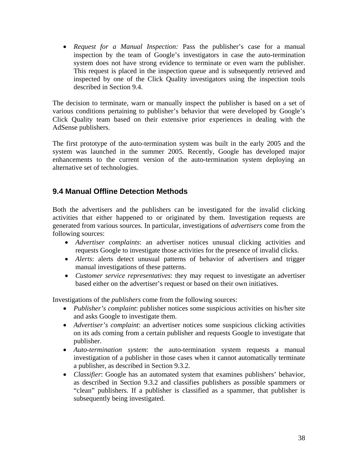• *Request for a Manual Inspection:* Pass the publisher's case for a manual inspection by the team of Google's investigators in case the auto-termination system does not have strong evidence to terminate or even warn the publisher. This request is placed in the inspection queue and is subsequently retrieved and inspected by one of the Click Quality investigators using the inspection tools described in Section 9.4.

The decision to terminate, warn or manually inspect the publisher is based on a set of various conditions pertaining to publisher's behavior that were developed by Google's Click Quality team based on their extensive prior experiences in dealing with the AdSense publishers.

The first prototype of the auto-termination system was built in the early 2005 and the system was launched in the summer 2005. Recently, Google has developed major enhancements to the current version of the auto-termination system deploying an alternative set of technologies.

### **9.4 Manual Offline Detection Methods**

Both the advertisers and the publishers can be investigated for the invalid clicking activities that either happened to or originated by them. Investigation requests are generated from various sources. In particular, investigations of *advertisers* come from the following sources:

- *Advertiser complaints*: an advertiser notices unusual clicking activities and requests Google to investigate those activities for the presence of invalid clicks.
- *Alerts*: alerts detect unusual patterns of behavior of advertisers and trigger manual investigations of these patterns.
- *Customer service representatives*: they may request to investigate an advertiser based either on the advertiser's request or based on their own initiatives.

Investigations of the *publishers* come from the following sources:

- *Publisher's complaint*: publisher notices some suspicious activities on his/her site and asks Google to investigate them.
- *Advertiser's complaint*: an advertiser notices some suspicious clicking activities on its ads coming from a certain publisher and requests Google to investigate that publisher.
- *Auto-termination system*: the auto-termination system requests a manual investigation of a publisher in those cases when it cannot automatically terminate a publisher, as described in Section 9.3.2.
- *Classifier*: Google has an automated system that examines publishers' behavior, as described in Section 9.3.2 and classifies publishers as possible spammers or "clean" publishers. If a publisher is classified as a spammer, that publisher is subsequently being investigated.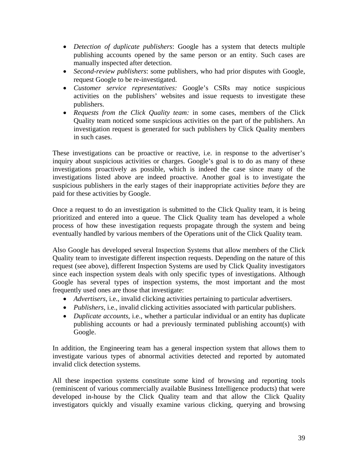- *Detection of duplicate publishers*: Google has a system that detects multiple publishing accounts opened by the same person or an entity. Such cases are manually inspected after detection.
- *Second-review publishers*: some publishers, who had prior disputes with Google, request Google to be re-investigated.
- *Customer service representatives:* Google's CSRs may notice suspicious activities on the publishers' websites and issue requests to investigate these publishers.
- *Requests from the Click Quality team:* in some cases, members of the Click Quality team noticed some suspicious activities on the part of the publishers. An investigation request is generated for such publishers by Click Quality members in such cases.

These investigations can be proactive or reactive, i.e. in response to the advertiser's inquiry about suspicious activities or charges. Google's goal is to do as many of these investigations proactively as possible, which is indeed the case since many of the investigations listed above are indeed proactive. Another goal is to investigate the suspicious publishers in the early stages of their inappropriate activities *before* they are paid for these activities by Google.

Once a request to do an investigation is submitted to the Click Quality team, it is being prioritized and entered into a queue. The Click Quality team has developed a whole process of how these investigation requests propagate through the system and being eventually handled by various members of the Operations unit of the Click Quality team.

Also Google has developed several Inspection Systems that allow members of the Click Quality team to investigate different inspection requests. Depending on the nature of this request (see above), different Inspection Systems are used by Click Quality investigators since each inspection system deals with only specific types of investigations. Although Google has several types of inspection systems, the most important and the most frequently used ones are those that investigate:

- *Advertisers*, i.e., invalid clicking activities pertaining to particular advertisers.
- *Publishers*, i.e., invalid clicking activities associated with particular publishers.
- *Duplicate accounts*, i.e., whether a particular individual or an entity has duplicate publishing accounts or had a previously terminated publishing account(s) with Google.

In addition, the Engineering team has a general inspection system that allows them to investigate various types of abnormal activities detected and reported by automated invalid click detection systems.

All these inspection systems constitute some kind of browsing and reporting tools (reminiscent of various commercially available Business Intelligence products) that were developed in-house by the Click Quality team and that allow the Click Quality investigators quickly and visually examine various clicking, querying and browsing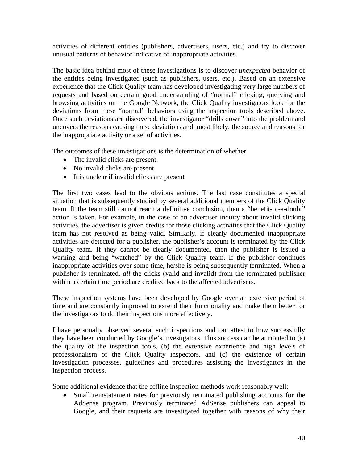activities of different entities (publishers, advertisers, users, etc.) and try to discover unusual patterns of behavior indicative of inappropriate activities.

The basic idea behind most of these investigations is to discover *unexpected* behavior of the entities being investigated (such as publishers, users, etc.). Based on an extensive experience that the Click Quality team has developed investigating very large numbers of requests and based on certain good understanding of "normal" clicking, querying and browsing activities on the Google Network, the Click Quality investigators look for the deviations from these "normal" behaviors using the inspection tools described above. Once such deviations are discovered, the investigator "drills down" into the problem and uncovers the reasons causing these deviations and, most likely, the source and reasons for the inappropriate activity or a set of activities.

The outcomes of these investigations is the determination of whether

- The invalid clicks are present
- No invalid clicks are present
- It is unclear if invalid clicks are present

The first two cases lead to the obvious actions. The last case constitutes a special situation that is subsequently studied by several additional members of the Click Quality team. If the team still cannot reach a definitive conclusion, then a "benefit-of-a-doubt" action is taken. For example, in the case of an advertiser inquiry about invalid clicking activities, the advertiser is given credits for those clicking activities that the Click Quality team has not resolved as being valid. Similarly, if clearly documented inappropriate activities are detected for a publisher, the publisher's account is terminated by the Click Quality team. If they cannot be clearly documented, then the publisher is issued a warning and being "watched" by the Click Quality team. If the publisher continues inappropriate activities over some time, he/she is being subsequently terminated. When a publisher is terminated, *all* the clicks (valid and invalid) from the terminated publisher within a certain time period are credited back to the affected advertisers.

These inspection systems have been developed by Google over an extensive period of time and are constantly improved to extend their functionality and make them better for the investigators to do their inspections more effectively.

I have personally observed several such inspections and can attest to how successfully they have been conducted by Google's investigators. This success can be attributed to (a) the quality of the inspection tools, (b) the extensive experience and high levels of professionalism of the Click Quality inspectors, and (c) the existence of certain investigation processes, guidelines and procedures assisting the investigators in the inspection process.

Some additional evidence that the offline inspection methods work reasonably well:

• Small reinstatement rates for previously terminated publishing accounts for the AdSense program. Previously terminated AdSense publishers can appeal to Google, and their requests are investigated together with reasons of why their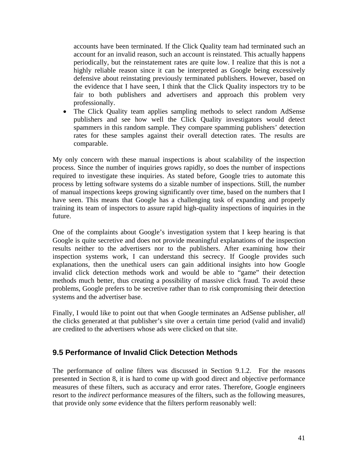accounts have been terminated. If the Click Quality team had terminated such an account for an invalid reason, such an account is reinstated. This actually happens periodically, but the reinstatement rates are quite low. I realize that this is not a highly reliable reason since it can be interpreted as Google being excessively defensive about reinstating previously terminated publishers. However, based on the evidence that I have seen, I think that the Click Quality inspectors try to be fair to both publishers and advertisers and approach this problem very professionally.

• The Click Quality team applies sampling methods to select random AdSense publishers and see how well the Click Quality investigators would detect spammers in this random sample. They compare spamming publishers' detection rates for these samples against their overall detection rates. The results are comparable.

My only concern with these manual inspections is about scalability of the inspection process. Since the number of inquiries grows rapidly, so does the number of inspections required to investigate these inquiries. As stated before, Google tries to automate this process by letting software systems do a sizable number of inspections. Still, the number of manual inspections keeps growing significantly over time, based on the numbers that I have seen. This means that Google has a challenging task of expanding and properly training its team of inspectors to assure rapid high-quality inspections of inquiries in the future.

One of the complaints about Google's investigation system that I keep hearing is that Google is quite secretive and does not provide meaningful explanations of the inspection results neither to the advertisers nor to the publishers. After examining how their inspection systems work, I can understand this secrecy. If Google provides such explanations, then the unethical users can gain additional insights into how Google invalid click detection methods work and would be able to "game" their detection methods much better, thus creating a possibility of massive click fraud. To avoid these problems, Google prefers to be secretive rather than to risk compromising their detection systems and the advertiser base.

Finally, I would like to point out that when Google terminates an AdSense publisher, *all* the clicks generated at that publisher's site over a certain time period (valid and invalid) are credited to the advertisers whose ads were clicked on that site.

### **9.5 Performance of Invalid Click Detection Methods**

The performance of online filters was discussed in Section 9.1.2. For the reasons presented in Section 8, it is hard to come up with good direct and objective performance measures of these filters, such as accuracy and error rates. Therefore, Google engineers resort to the *indirect* performance measures of the filters, such as the following measures, that provide only *some* evidence that the filters perform reasonably well: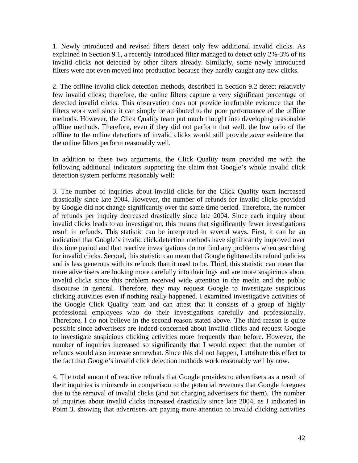1. Newly introduced and revised filters detect only few additional invalid clicks. As explained in Section 9.1, a recently introduced filter managed to detect only 2%-3% of its invalid clicks not detected by other filters already. Similarly, some newly introduced filters were not even moved into production because they hardly caught any new clicks.

2. The offline invalid click detection methods, described in Section 9.2 detect relatively few invalid clicks; therefore, the online filters capture a very significant percentage of detected invalid clicks. This observation does not provide irrefutable evidence that the filters work well since it can simply be attributed to the poor performance of the offline methods. However, the Click Quality team put much thought into developing reasonable offline methods. Therefore, even if they did not perform that well, the low ratio of the offline to the online detections of invalid clicks would still provide *some* evidence that the online filters perform reasonably well.

In addition to these two arguments, the Click Quality team provided me with the following additional indicators supporting the claim that Google's whole invalid click detection system performs reasonably well:

3. The number of inquiries about invalid clicks for the Click Quality team increased drastically since late 2004. However, the number of refunds for invalid clicks provided by Google did not change significantly over the same time period. Therefore, the number of refunds per inquiry decreased drastically since late 2004. Since each inquiry about invalid clicks leads to an investigation, this means that significantly fewer investigations result in refunds. This statistic can be interpreted in several ways. First, it can be an indication that Google's invalid click detection methods have significantly improved over this time period and that reactive investigations do not find any problems when searching for invalid clicks. Second, this statistic can mean that Google tightened its refund policies and is less generous with its refunds than it used to be. Third, this statistic can mean that more advertisers are looking more carefully into their logs and are more suspicious about invalid clicks since this problem received wide attention in the media and the public discourse in general. Therefore, they may request Google to investigate suspicious clicking activities even if nothing really happened. I examined investigative activities of the Google Click Quality team and can attest that it consists of a group of highly professional employees who do their investigations carefully and professionally. Therefore, I do not believe in the second reason stated above. The third reason is quite possible since advertisers are indeed concerned about invalid clicks and request Google to investigate suspicious clicking activities more frequently than before. However, the number of inquiries increased so significantly that I would expect that the number of refunds would also increase somewhat. Since this did not happen, I attribute this effect to the fact that Google's invalid click detection methods work reasonably well by now.

4. The total amount of reactive refunds that Google provides to advertisers as a result of their inquiries is miniscule in comparison to the potential revenues that Google foregoes due to the removal of invalid clicks (and not charging advertisers for them). The number of inquiries about invalid clicks increased drastically since late 2004, as I indicated in Point 3, showing that advertisers are paying more attention to invalid clicking activities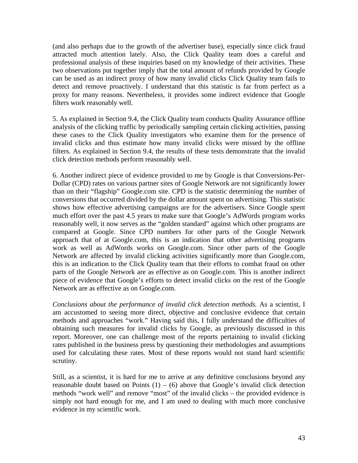(and also perhaps due to the growth of the advertiser base), especially since click fraud attracted much attention lately. Also, the Click Quality team does a careful and professional analysis of these inquiries based on my knowledge of their activities. These two observations put together imply that the total amount of refunds provided by Google can be used as an indirect proxy of how many invalid clicks Click Quality team fails to detect and remove proactively. I understand that this statistic is far from perfect as a proxy for many reasons. Nevertheless, it provides some indirect evidence that Google filters work reasonably well.

5. As explained in Section 9.4, the Click Quality team conducts Quality Assurance offline analysis of the clicking traffic by periodically sampling certain clicking activities, passing these cases to the Click Quality investigators who examine them for the presence of invalid clicks and thus estimate how many invalid clicks were missed by the offline filters. As explained in Section 9.4, the results of these tests demonstrate that the invalid click detection methods perform reasonably well.

6. Another indirect piece of evidence provided to me by Google is that Conversions-Per-Dollar (CPD) rates on various partner sites of Google Network are not significantly lower than on their "flagship" Google.com site. CPD is the statistic determining the number of conversions that occurred divided by the dollar amount spent on advertising. This statistic shows how effective advertising campaigns are for the advertisers. Since Google spent much effort over the past 4.5 years to make sure that Google's AdWords program works reasonably well, it now serves as the "golden standard" against which other programs are compared at Google. Since CPD numbers for other parts of the Google Network approach that of at Google.com, this is an indication that other advertising programs work as well as AdWords works on Google.com. Since other parts of the Google Network are affected by invalid clicking activities significantly more than Google.com, this is an indication to the Click Quality team that their efforts to combat fraud on other parts of the Google Network are as effective as on Google.com. This is another indirect piece of evidence that Google's efforts to detect invalid clicks on the rest of the Google Network are as effective as on Google.com.

*Conclusions about the performance of invalid click detection methods.* As a scientist, I am accustomed to seeing more direct, objective and conclusive evidence that certain methods and approaches "work." Having said this, I fully understand the difficulties of obtaining such measures for invalid clicks by Google, as previously discussed in this report. Moreover, one can challenge most of the reports pertaining to invalid clicking rates published in the business press by questioning their methodologies and assumptions used for calculating these rates. Most of these reports would not stand hard scientific scrutiny.

Still, as a scientist, it is hard for me to arrive at any definitive conclusions beyond any reasonable doubt based on Points  $(1) - (6)$  above that Google's invalid click detection methods "work well" and remove "most" of the invalid clicks – the provided evidence is simply not hard enough for me, and I am used to dealing with much more conclusive evidence in my scientific work.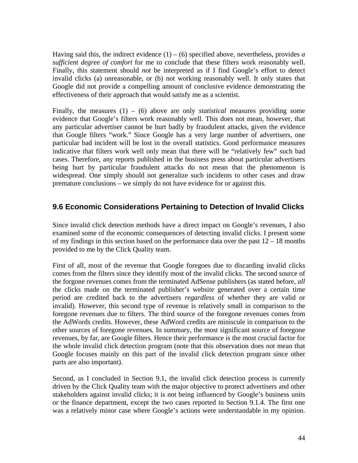Having said this, the indirect evidence  $(1) - (6)$  specified above, nevertheless, provides *a sufficient degree of comfort* for me to conclude that these filters work reasonably well. Finally, this statement should *not* be interpreted as if I find Google's effort to detect invalid clicks (a) unreasonable, or (b) not working reasonably well. It only states that Google did not provide a compelling amount of conclusive evidence demonstrating the effectiveness of their approach that would satisfy me as a scientist.

Finally, the measures (1) – (6) above are only *statistical* measures providing some evidence that Google's filters work reasonably well. This does not mean, however, that any particular advertiser cannot be hurt badly by fraudulent attacks, given the evidence that Google filters "work." Since Google has a very large number of advertisers, one particular bad incident will be lost in the overall statistics. Good performance measures indicative that filters work well only mean that there will be "relatively few" such bad cases. Therefore, any reports published in the business press about particular advertisers being hurt by particular fraudulent attacks do not mean that the phenomenon is widespread. One simply should not generalize such incidents to other cases and draw premature conclusions – we simply do not have evidence for or against this.

### **9.6 Economic Considerations Pertaining to Detection of Invalid Clicks**

Since invalid click detection methods have a direct impact on Google's revenues, I also examined some of the economic consequences of detecting invalid clicks. I present some of my findings in this section based on the performance data over the past  $12 - 18$  months provided to me by the Click Quality team.

First of all, most of the revenue that Google foregoes due to discarding invalid clicks comes from the filters since they identify most of the invalid clicks. The second source of the forgone revenues comes from the terminated AdSense publishers (as stated before, *all* the clicks made on the terminated publisher's website generated over a certain time period are credited back to the advertisers *regardless* of whether they are valid or invalid). However, this second type of revenue is relatively small in comparison to the foregone revenues due to filters. The third source of the foregone revenues comes from the AdWords credits. However, these AdWord credits are miniscule in comparison to the other sources of foregone revenues. In summary, the most significant source of foregone revenues, by far, are Google filters. Hence their performance is the most crucial factor for the whole invalid click detection program (note that this observation does not mean that Google focuses mainly on this part of the invalid click detection program since other parts are also important).

Second, as I concluded in Section 9.1, the invalid click detection process is currently driven by the Click Quality team with the major objective to protect advertisers and other stakeholders against invalid clicks; it is not being influenced by Google's business units or the finance department, except the two cases reported in Section 9.1.4. The first one was a relatively minor case where Google's actions were understandable in my opinion.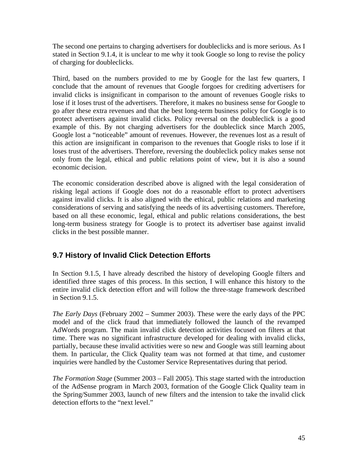The second one pertains to charging advertisers for doubleclicks and is more serious. As I stated in Section 9.1.4, it is unclear to me why it took Google so long to revise the policy of charging for doubleclicks.

Third, based on the numbers provided to me by Google for the last few quarters, I conclude that the amount of revenues that Google forgoes for crediting advertisers for invalid clicks is insignificant in comparison to the amount of revenues Google risks to lose if it loses trust of the advertisers. Therefore, it makes no business sense for Google to go after these extra revenues and that the best long-term business policy for Google is to protect advertisers against invalid clicks. Policy reversal on the doubleclick is a good example of this. By not charging advertisers for the doubleclick since March 2005, Google lost a "noticeable" amount of revenues. However, the revenues lost as a result of this action are insignificant in comparison to the revenues that Google risks to lose if it loses trust of the advertisers. Therefore, reversing the doubleclick policy makes sense not only from the legal, ethical and public relations point of view, but it is also a sound economic decision.

The economic consideration described above is aligned with the legal consideration of risking legal actions if Google does not do a reasonable effort to protect advertisers against invalid clicks. It is also aligned with the ethical, public relations and marketing considerations of serving and satisfying the needs of its advertising customers. Therefore, based on all these economic, legal, ethical and public relations considerations, the best long-term business strategy for Google is to protect its advertiser base against invalid clicks in the best possible manner.

## **9.7 History of Invalid Click Detection Efforts**

In Section 9.1.5, I have already described the history of developing Google filters and identified three stages of this process. In this section, I will enhance this history to the entire invalid click detection effort and will follow the three-stage framework described in Section 9.1.5.

*The Early Days* (February 2002 – Summer 2003). These were the early days of the PPC model and of the click fraud that immediately followed the launch of the revamped AdWords program. The main invalid click detection activities focused on filters at that time. There was no significant infrastructure developed for dealing with invalid clicks, partially, because these invalid activities were so new and Google was still learning about them. In particular, the Click Quality team was not formed at that time, and customer inquiries were handled by the Customer Service Representatives during that period.

*The Formation Stage* (Summer 2003 – Fall 2005). This stage started with the introduction of the AdSense program in March 2003, formation of the Google Click Quality team in the Spring/Summer 2003, launch of new filters and the intension to take the invalid click detection efforts to the "next level."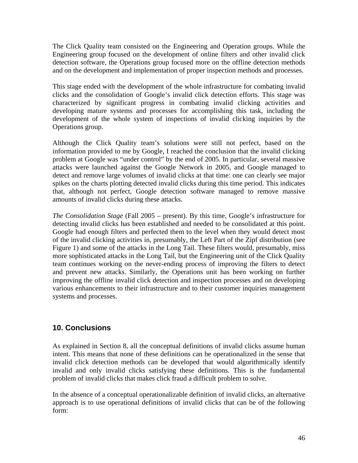The Click Quality team consisted on the Engineering and Operation groups. While the Engineering group focused on the development of online filters and other invalid click detection software, the Operations group focused more on the offline detection methods and on the development and implementation of proper inspection methods and processes.

This stage ended with the development of the whole infrastructure for combating invalid clicks and the consolidation of Google's invalid click detection efforts. This stage was characterized by significant progress in combating invalid clicking activities and developing mature systems and processes for accomplishing this task, including the development of the whole system of inspections of invalid clicking inquiries by the Operations group.

Although the Click Quality team's solutions were still not perfect, based on the information provided to me by Google, I reached the conclusion that the invalid clicking problem at Google was "under control" by the end of 2005. In particular, several massive attacks were launched against the Google Network in 2005, and Google managed to detect and remove large volumes of invalid clicks at that time: one can clearly see major spikes on the charts plotting detected invalid clicks during this time period. This indicates that, although not perfect, Google detection software managed to remove massive amounts of invalid clicks during these attacks.

*The Consolidation Stage* (Fall 2005 – present). By this time, Google's infrastructure for detecting invalid clicks has been established and needed to be consolidated at this point. Google had enough filters and perfected them to the level when they would detect most of the invalid clicking activities in, presumably, the Left Part of the Zipf distribution (see Figure 1) and some of the attacks in the Long Tail. These filters would, presumably, miss more sophisticated attacks in the Long Tail, but the Engineering unit of the Click Quality team continues working on the never-ending process of improving the filters to detect and prevent new attacks. Similarly, the Operations unit has been working on further improving the offline invalid click detection and inspection processes and on developing various enhancements to their infrastructure and to their customer inquiries management systems and processes.

#### **10. Conclusions**

As explained in Section 8, all the conceptual definitions of invalid clicks assume human intent. This means that none of these definitions can be operationalized in the sense that invalid click detection methods can be developed that would algorithmically identify invalid and only invalid clicks satisfying these definitions. This is the fundamental problem of invalid clicks that makes click fraud a difficult problem to solve.

In the absence of a conceptual operationalizable definition of invalid clicks, an alternative approach is to use operational definitions of invalid clicks that can be of the following form: